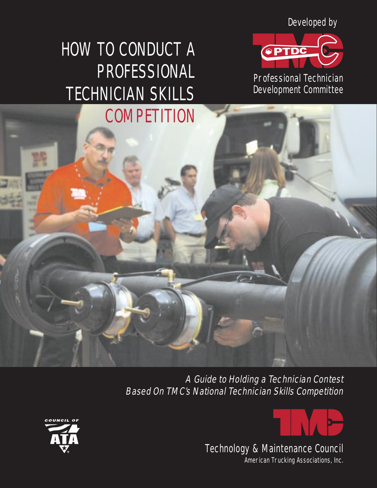Developed by



Professional Technician Development Committee

# HOW TO CONDUCT A PROFESSIONAL TECHNICIAN SKILLS **COMPETITION**

A Guide to Holding a Technician Contest Based On TMC's National Technician Skills Competition





Technology & Maintenance Council

American Trucking Associations, Inc.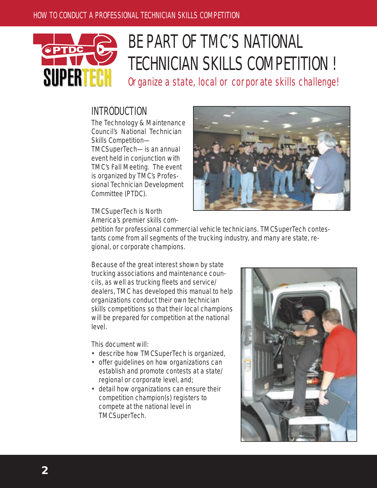

# BE PART OF TMC'S NATIONAL TECHNICIAN SKILLS COMPETITION !

Organize a state, local or corporate skills challenge!

## INTRODUCTION

The Technology & Maintenance Council's National Technician Skills Competition— TMCSuperTech—is an annual event held in conjunction with TMC's Fall Meeting. The event is organized by TMC's Professional Technician Development Committee (PTDC).



TMCSuperTech is North America's premier skills com-

petition for professional commercial vehicle technicians. TMCSuperTech contestants come from all segments of the trucking industry, and many are state, regional, or corporate champions.

Because of the great interest shown by state trucking associations and maintenance councils, as well as trucking fleets and service/ dealers, TMC has developed this manual to help organizations conduct their own technician skills competitions so that their local champions will be prepared for competition at the national level.

This document will:

- describe how TMCSuperTech is organized,
- offer guidelines on how organizations can establish and promote contests at a state/ regional or corporate level, and;
- detail how organizations can ensure their competition champion(s) registers to compete at the national level in TMCSuperTech.

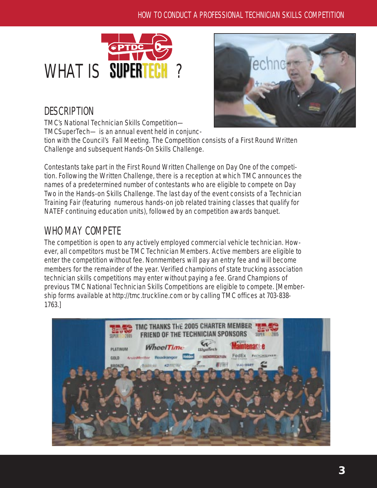



# **DESCRIPTION**

TMC's National Technician Skills Competition— TMCSuperTech— is an annual event held in conjunc-

tion with the Council's Fall Meeting. The Competition consists of a First Round Written Challenge and subsequent Hands-On Skills Challenge.

Contestants take part in the First Round Written Challenge on Day One of the competition. Following the Written Challenge, there is a reception at which TMC announces the names of a predetermined number of contestants who are eligible to compete on Day Two in the Hands-on Skills Challenge. The last day of the event consists of a Technician Training Fair (featuring numerous hands-on job related training classes that qualify for NATEF continuing education units), followed by an competition awards banquet.

# WHO MAY COMPETE

The competition is open to any actively employed commercial vehicle technician. However, all competitors must be TMC Technician Members. Active members are eligible to enter the competition without fee. Nonmembers will pay an entry fee and will become members for the remainder of the year. Verified champions of state trucking association technician skills competitions may enter without paying a fee. Grand Champions of previous TMC National Technician Skills Competitions are eligible to compete. [Membership forms available at http://tmc.truckline.com or by calling TMC offices at 703-838- 1763.]

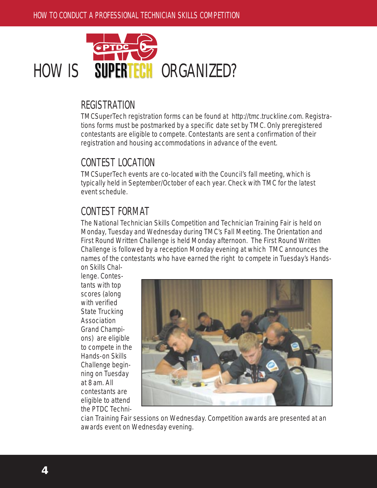

## **REGISTRATION**

TMCSuperTech registration forms can be found at http://tmc.truckline.com. Registrations forms must be postmarked by a specific date set by TMC. Only preregistered contestants are eligible to compete. Contestants are sent a confirmation of their registration and housing accommodations in advance of the event.

## CONTEST LOCATION

TMCSuperTech events are co-located with the Council's fall meeting, which is typically held in September/October of each year. Check with TMC for the latest event schedule.

# CONTEST FORMAT

The National Technician Skills Competition and Technician Training Fair is held on Monday, Tuesday and Wednesday during TMC's Fall Meeting. The Orientation and First Round Written Challenge is held Monday afternoon. The First Round Written Challenge is followed by a reception Monday evening at which TMC announces the names of the contestants who have earned the right to compete in Tuesday's Handson Skills Chal-

lenge. Contestants with top scores (along with verified State Trucking Association Grand Champions) are eligible to compete in the Hands-on Skills Challenge beginning on Tuesday at 8 am. All contestants are eligible to attend the PTDC Techni-



cian Training Fair sessions on Wednesday. Competition awards are presented at an awards event on Wednesday evening.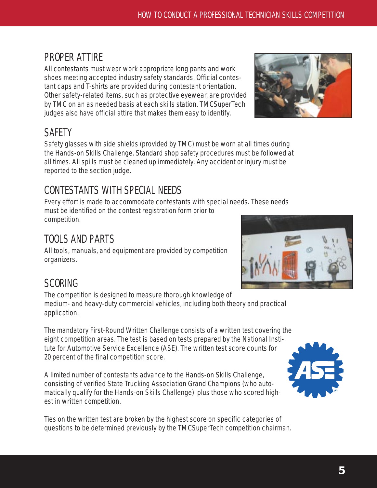# PROPER ATTIRE

All contestants must wear work appropriate long pants and work shoes meeting accepted industry safety standards. Official contestant caps and T-shirts are provided during contestant orientation. Other safety-related items, such as protective eyewear, are provided by TMC on an as needed basis at each skills station. TMCSuperTech judges also have official attire that makes them easy to identify.

# **SAFETY**

Safety glasses with side shields (provided by TMC) must be worn at all times during the Hands-on Skills Challenge. Standard shop safety procedures must be followed at all times. All spills must be cleaned up immediately. Any accident or injury must be reported to the section judge.

# CONTESTANTS WITH SPECIAL NEEDS

Every effort is made to accommodate contestants with special needs. These needs must be identified on the contest registration form prior to competition.

# TOOLS AND PARTS

All tools, manuals, and equipment are provided by competition organizers.

# **SCORING**

The competition is designed to measure thorough knowledge of medium- and heavy-duty commercial vehicles, including both theory and practical application.

The mandatory First-Round Written Challenge consists of a written test covering the eight competition areas. The test is based on tests prepared by the National Institute for Automotive Service Excellence (ASE). The written test score counts for 20 percent of the final competition score.

A limited number of contestants advance to the Hands-on Skills Challenge, consisting of verified State Trucking Association Grand Champions (who automatically qualify for the Hands-on Skills Challenge) plus those who scored highest in written competition.

Ties on the written test are broken by the highest score on specific categories of questions to be determined previously by the TMCSuperTech competition chairman.





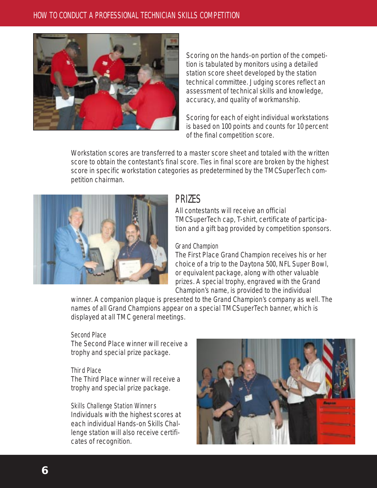

Scoring on the hands-on portion of the competition is tabulated by monitors using a detailed station score sheet developed by the station technical committee. Judging scores reflect an assessment of technical skills and knowledge, accuracy, and quality of workmanship.

Scoring for each of eight individual workstations is based on 100 points and counts for 10 percent of the final competition score.

Workstation scores are transferred to a master score sheet and totaled with the written score to obtain the contestant's final score. Ties in final score are broken by the highest score in specific workstation categories as predetermined by the TMCSuperTech competition chairman.



## **PRIZES**

All contestants will receive an official TMCSuperTech cap, T-shirt, certificate of participation and a gift bag provided by competition sponsors.

### Grand Champion

The First Place Grand Champion receives his or her choice of a trip to the Daytona 500, NFL Super Bowl, or equivalent package, along with other valuable prizes. A special trophy, engraved with the Grand Champion's name, is provided to the individual

winner. A companion plaque is presented to the Grand Champion's company as well. The names of all Grand Champions appear on a special TMCSuperTech banner, which is displayed at all TMC general meetings.

### Second Place

The Second Place winner will receive a trophy and special prize package.

### Third Place

The Third Place winner will receive a trophy and special prize package.

### Skills Challenge Station Winners

Individuals with the highest scores at each individual Hands-on Skills Challenge station will also receive certificates of recognition.

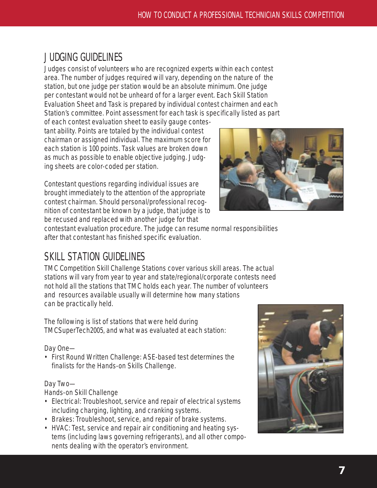# JUDGING GUIDELINES

Judges consist of volunteers who are recognized experts within each contest area. The number of judges required will vary, depending on the nature of the station, but one judge per station would be an absolute minimum. One judge per contestant would not be unheard of for a larger event. Each Skill Station Evaluation Sheet and Task is prepared by individual contest chairmen and each Station's committee. Point assessment for each task is specifically listed as part

of each contest evaluation sheet to easily gauge contestant ability. Points are totaled by the individual contest chairman or assigned individual. The maximum score for each station is 100 points. Task values are broken down as much as possible to enable objective judging. Judging sheets are color-coded per station.

Contestant questions regarding individual issues are brought immediately to the attention of the appropriate contest chairman. Should personal/professional recognition of contestant be known by a judge, that judge is to be recused and replaced with another judge for that



contestant evaluation procedure. The judge can resume normal responsibilities after that contestant has finished specific evaluation.

# SKILL STATION GUIDELINES

TMC Competition Skill Challenge Stations cover various skill areas. The actual stations will vary from year to year and state/regional/corporate contests need not hold all the stations that TMC holds each year. The number of volunteers and resources available usually will determine how many stations can be practically held.

The following is list of stations that were held during TMCSuperTech2005, and what was evaluated at each station:

Day One—

• First Round Written Challenge: ASE-based test determines the finalists for the Hands-on Skills Challenge.

### Day Two—

Hands-on Skill Challenge

- Electrical: Troubleshoot, service and repair of electrical systems including charging, lighting, and cranking systems.
- Brakes: Troubleshoot, service, and repair of brake systems.
- HVAC: Test, service and repair air conditioning and heating systems (including laws governing refrigerants), and all other components dealing with the operator's environment.

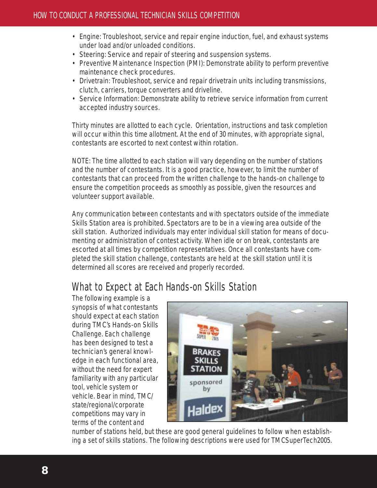- Engine: Troubleshoot, service and repair engine induction, fuel, and exhaust systems under load and/or unloaded conditions.
- Steering: Service and repair of steering and suspension systems.
- Preventive Maintenance Inspection (PMI): Demonstrate ability to perform preventive maintenance check procedures.
- Drivetrain: Troubleshoot, service and repair drivetrain units including transmissions, clutch, carriers, torque converters and driveline.
- Service Information: Demonstrate ability to retrieve service information from current accepted industry sources.

Thirty minutes are allotted to each cycle. Orientation, instructions and task completion will occur within this time allotment. At the end of 30 minutes, with appropriate signal, contestants are escorted to next contest within rotation.

NOTE: The time allotted to each station will vary depending on the number of stations and the number of contestants. It is a good practice, however, to limit the number of contestants that can proceed from the written challenge to the hands-on challenge to ensure the competition proceeds as smoothly as possible, given the resources and volunteer support available.

Any communication between contestants and with spectators outside of the immediate Skills Station area is prohibited. Spectators are to be in a viewing area outside of the skill station. Authorized individuals may enter individual skill station for means of documenting or administration of contest activity. When idle or on break, contestants are escorted at all times by competition representatives. Once all contestants have completed the skill station challenge, contestants are held at the skill station until it is determined all scores are received and properly recorded.

# What to Expect at Each Hands-on Skills Station

The following example is a synopsis of what contestants should expect at each station during TMC's Hands-on Skills Challenge. Each challenge has been designed to test a technician's general knowledge in each functional area, without the need for expert familiarity with any particular tool, vehicle system or vehicle. Bear in mind, TMC/ state/regional/corporate competitions may vary in terms of the content and



number of stations held, but these are good general guidelines to follow when establishing a set of skills stations. The following descriptions were used for TMCSuperTech2005.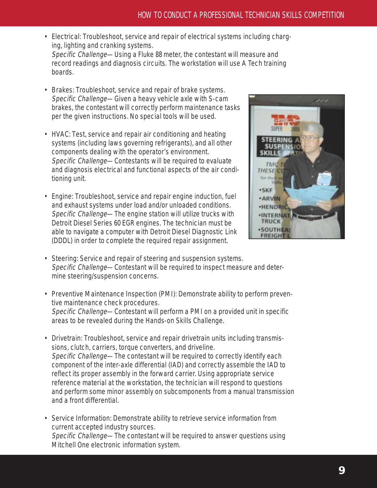- Electrical: Troubleshoot, service and repair of electrical systems including charging, lighting and cranking systems. Specific Challenge—Using a Fluke 88 meter, the contestant will measure and record readings and diagnosis circuits. The workstation will use A Tech training boards.
- Brakes: Troubleshoot, service and repair of brake systems. Specific Challenge—Given a heavy vehicle axle with S-cam brakes, the contestant will correctly perform maintenance tasks per the given instructions. No special tools will be used.
- HVAC: Test, service and repair air conditioning and heating systems (including laws governing refrigerants), and all other components dealing with the operator's environment. Specific Challenge—Contestants will be required to evaluate and diagnosis electrical and functional aspects of the air conditioning unit.
- Engine: Troubleshoot, service and repair engine induction, fuel and exhaust systems under load and/or unloaded conditions. Specific Challenge—The engine station will utilize trucks with Detroit Diesel Series 60 EGR engines. The technician must be able to navigate a computer with Detroit Diesel Diagnostic Link (DDDL) in order to complete the required repair assignment.



- Steering: Service and repair of steering and suspension systems. Specific Challenge—Contestant will be required to inspect measure and determine steering/suspension concerns.
- Preventive Maintenance Inspection (PMI): Demonstrate ability to perform preventive maintenance check procedures. Specific Challenge—Contestant will perform a PMI on a provided unit in specific areas to be revealed during the Hands-on Skills Challenge.
- Drivetrain: Troubleshoot, service and repair drivetrain units including transmissions, clutch, carriers, torque converters, and driveline. Specific Challenge—The contestant will be required to correctly identify each component of the inter-axle differential (IAD) and correctly assemble the IAD to reflect its proper assembly in the forward carrier. Using appropriate service reference material at the workstation, the technician will respond to questions and perform some minor assembly on subcomponents from a manual transmission and a front differential.
- Service Information: Demonstrate ability to retrieve service information from current accepted industry sources. Specific Challenge—The contestant will be required to answer questions using Mitchell One electronic information system.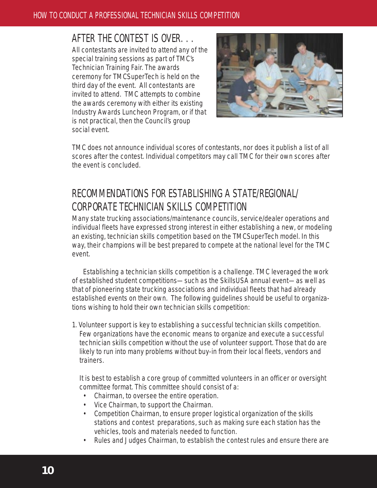## AFTER THE CONTEST IS OVER. . .

All contestants are invited to attend any of the special training sessions as part of TMC's Technician Training Fair. The awards ceremony for TMCSuperTech is held on the third day of the event. All contestants are invited to attend. TMC attempts to combine the awards ceremony with either its existing Industry Awards Luncheon Program, or if that is not practical, then the Council's group social event.



TMC does not announce individual scores of contestants, nor does it publish a list of all scores after the contest. Individual competitors may call TMC for their own scores after the event is concluded.

# RECOMMENDATIONS FOR ESTABLISHING A STATE/REGIONAL/ CORPORATE TECHNICIAN SKILLS COMPETITION

Many state trucking associations/maintenance councils, service/dealer operations and individual fleets have expressed strong interest in either establishing a new, or modeling an existing, technician skills competition based on the TMCSuperTech model. In this way, their champions will be best prepared to compete at the national level for the TMC event.

Establishing a technician skills competition is a challenge. TMC leveraged the work of established student competitions—such as the SkillsUSA annual event—as well as that of pioneering state trucking associations and individual fleets that had already established events on their own. The following guidelines should be useful to organizations wishing to hold their own technician skills competition:

1. Volunteer support is key to establishing a successful technician skills competition. Few organizations have the economic means to organize and execute a successful technician skills competition without the use of volunteer support. Those that do are likely to run into many problems without buy-in from their local fleets, vendors and trainers.

It is best to establish a core group of committed volunteers in an officer or oversight committee format. This committee should consist of a:

- Chairman, to oversee the entire operation.
- Vice Chairman, to support the Chairman.
- Competition Chairman, to ensure proper logistical organization of the skills stations and contest preparations, such as making sure each station has the vehicles, tools and materials needed to function.
- Rules and Judges Chairman, to establish the contest rules and ensure there are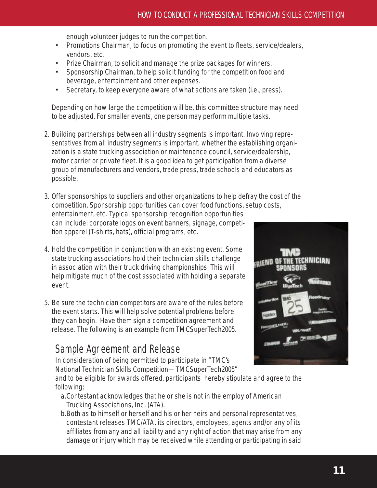enough volunteer judges to run the competition.

- Promotions Chairman, to focus on promoting the event to fleets, service/dealers, vendors, etc.
- Prize Chairman, to solicit and manage the prize packages for winners.
- Sponsorship Chairman, to help solicit funding for the competition food and beverage, entertainment and other expenses.
- Secretary, to keep everyone aware of what actions are taken (i.e., press).

Depending on how large the competition will be, this committee structure may need to be adjusted. For smaller events, one person may perform multiple tasks.

- 2. Building partnerships between all industry segments is important. Involving representatives from all industry segments is important, whether the establishing organization is a state trucking association or maintenance council, service/dealership, motor carrier or private fleet. It is a good idea to get participation from a diverse group of manufacturers and vendors, trade press, trade schools and educators as possible.
- 3. Offer sponsorships to suppliers and other organizations to help defray the cost of the competition. Sponsorship opportunities can cover food functions, setup costs, entertainment, etc. Typical sponsorship recognition opportunities

can include: corporate logos on event banners, signage, competition apparel (T-shirts, hats), official programs, etc.

- 4. Hold the competition in conjunction with an existing event. Some state trucking associations hold their technician skills challenge in association with their truck driving championships. This will help mitigate much of the cost associated with holding a separate event.
- 5. Be sure the technician competitors are aware of the rules before the event starts. This will help solve potential problems before they can begin. Have them sign a competition agreement and release. The following is an example from TMCSuperTech2005.

# Sample Agreement and Release

In consideration of being permitted to participate in "TMC's National Technician Skills Competition—TMCSuperTech2005"

and to be eligible for awards offered, participants hereby stipulate and agree to the following:

- a.Contestant acknowledges that he or she is not in the employ of American Trucking Associations, Inc. (ATA).
- b.Both as to himself or herself and his or her heirs and personal representatives, contestant releases TMC/ATA, its directors, employees, agents and/or any of its affiliates from any and all liability and any right of action that may arise from any damage or injury which may be received while attending or participating in said

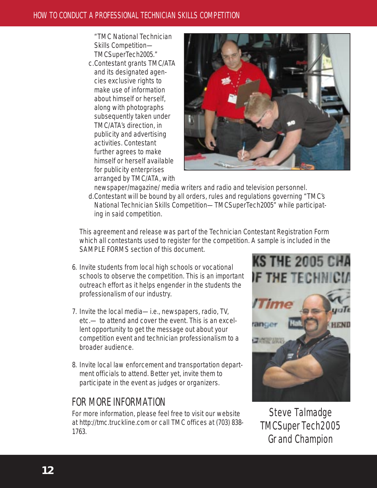"TMC National Technician Skills Competition— TMCSuperTech2005."

c.Contestant grants TMC/ATA and its designated agencies exclusive rights to make use of information about himself or herself, along with photographs subsequently taken under TMC/ATA's direction, in publicity and advertising activities. Contestant further agrees to make himself or herself available for publicity enterprises arranged by TMC/ATA, with



newspaper/magazine/ media writers and radio and television personnel. d.Contestant will be bound by all orders, rules and regulations governing "TMC's National Technician Skills Competition—TMCSuperTech2005" while participating in said competition.

This agreement and release was part of the Technician Contestant Registration Form which all contestants used to register for the competition. A sample is included in the SAMPLE FORMS section of this document.

- 6. Invite students from local high schools or vocational schools to observe the competition. This is an important outreach effort as it helps engender in the students the professionalism of our industry.
- 7. Invite the local media—i.e., newspapers, radio, TV, etc.— to attend and cover the event. This is an excellent opportunity to get the message out about your competition event and technician professionalism to a broader audience.
- 8. Invite local law enforcement and transportation department officials to attend. Better yet, invite them to participate in the event as judges or organizers.

# FOR MORE INFORMATION

For more information, please feel free to visit our website at http://tmc.truckline.com or call TMC offices at (703) 838- 1763.



Steve Talmadge TMCSuperTech2005 Grand Champion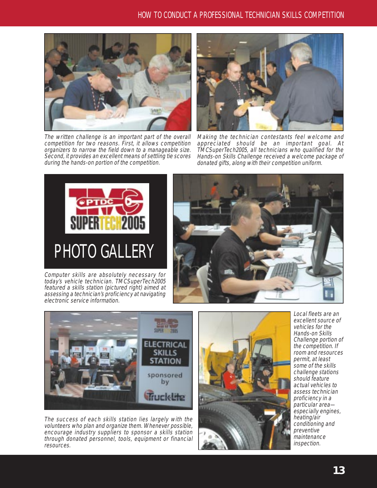

The written challenge is an important part of the overall competition for two reasons. First, it allows competition organizers to narrow the field down to a manageable size. Second, it provides an excellent means of settling tie scores during the hands-on portion of the competition.



Making the technician contestants feel welcome and appreciated should be an important goal. At TMCSuperTech2005, all technicians who qualified for the Hands-on Skills Challenge received a welcome package of donated gifts, along with their competition uniform.



Computer skills are absolutely necessary for today's vehicle technician. TMCSuperTech2005 featured a skills station (pictured right) aimed at assessing a technician's proficiency at navigating electronic service information.





The success of each skills station lies largely with the volunteers who plan and organize them. Whenever possible, encourage industry suppliers to sponsor a skills station through donated personnel, tools, equipment or financial resources.



Local fleets are an excellent source of vehicles for the Hands-on Skills Challenge portion of the competition. If room and resources permit, at least some of the skills challenge stations should feature actual vehicles to assess technician proficiency in a particular area especially engines, heating/air conditioning and preventive maintenance inspection.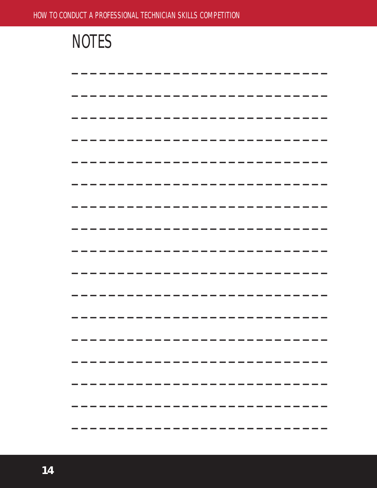| and the control of the control of the control of the control of the control of the control of the control of th |  |
|-----------------------------------------------------------------------------------------------------------------|--|
|                                                                                                                 |  |
|                                                                                                                 |  |
|                                                                                                                 |  |
|                                                                                                                 |  |
|                                                                                                                 |  |
|                                                                                                                 |  |
|                                                                                                                 |  |
|                                                                                                                 |  |
|                                                                                                                 |  |
|                                                                                                                 |  |
|                                                                                                                 |  |
|                                                                                                                 |  |
|                                                                                                                 |  |
|                                                                                                                 |  |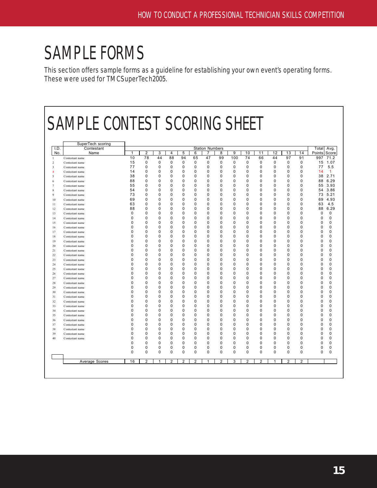# SAMPLE FORMS

This section offers sample forms as a guideline for establishing your own event's operating forms. These were used for TMCSuperTech2005.

|             | <b>SAMPLE CONTEST SCORING SHEET</b> |                      |                |               |                |                |                      |                             |                      |                      |                            |               |               |                            |                      |                                    |
|-------------|-------------------------------------|----------------------|----------------|---------------|----------------|----------------|----------------------|-----------------------------|----------------------|----------------------|----------------------------|---------------|---------------|----------------------------|----------------------|------------------------------------|
|             |                                     |                      |                |               |                |                |                      |                             |                      |                      |                            |               |               |                            |                      |                                    |
|             |                                     |                      |                |               |                |                |                      |                             |                      |                      |                            |               |               |                            |                      |                                    |
|             | SuperTech scoring                   |                      |                |               |                |                |                      |                             |                      |                      |                            |               |               |                            |                      |                                    |
| I.D.<br>No. | Contestant<br>Name                  | 1                    | $\overline{c}$ | 3             | $\overline{4}$ | 5              | 6                    | <b>Station Numbers</b><br>7 | 8                    | 9                    | 10                         | 11            | 12            | 13                         | 14                   | Total<br>Avg.<br>Score<br>Points   |
|             | Contestant name                     | 10                   | 78             | 44            | 88             | 94             | 65                   | 47                          | 99                   | 100                  | 74                         | 66            | 44            | 97                         | 91                   | 71.2<br>997                        |
|             | Contestant name                     | 15                   | 0              | 0             | 0              | 0              | 0                    | 0                           | 0                    | 0                    | $\mathbf 0$                | 0             | 0             | 0                          | $\mathbf 0$          | 15<br>1.07                         |
|             | Contestant name                     | 77                   | 0              | 0             | 0              | 0              | 0                    | 0                           | 0                    | 0                    | 0                          | 0             | 0             | 0                          | 0                    | 5.5<br>77                          |
|             | Contestant name                     | 14                   | 0              | $\Omega$      | $\Omega$       | $\Omega$       | $\Omega$             | $\Omega$                    | $\Omega$             | $\Omega$             | $\Omega$                   | $\Omega$      | $\Omega$      | $\Omega$                   | $\Omega$             | 14<br>$\mathbf{1}$                 |
|             | Contestant name                     | 38                   | 0              | 0             | 0              | 0              | 0                    | 0                           | 0                    | $\Omega$             | 0                          | 0             | 0             | 0                          | 0                    | 38<br>2.71                         |
|             | Contestant name                     | 88                   | $\Omega$       | 0             | 0              | 0              | 0                    | 0                           | 0                    | $\Omega$             | $\mathbf 0$                | 0             | 0             | $\mathbf 0$                | $\mathbf 0$          | 6.29<br>88                         |
|             | Contestant name                     | 55                   | 0              | 0             | 0              | 0              | 0                    | 0                           | 0                    | 0                    | $\mathbf 0$                | 0             | 0             | $\mathbf 0$                | 0                    | 55<br>3.93                         |
|             | Contestant name                     | 54                   | 0              | $\mathbf 0$   | 0              | $\mathbf 0$    | 0                    | 0                           | 0                    | $\Omega$             | $\mathbf 0$                | 0             | 0             | $\mathbf 0$                | 0                    | 3.86<br>54                         |
|             | Contestant name                     | 73                   | 0              | 0             | 0              | 0              | $\Omega$             | $\Omega$                    | $\Omega$             | 0                    | $\Omega$                   | 0             | $\Omega$      | $\Omega$                   | $\Omega$             | 5.21<br>73                         |
| 10          | Contestant name                     | 69                   | 0              | 0             | 0              | 0              | 0                    | 0                           | 0                    | $\Omega$             | $\mathbf 0$                | 0             | 0             | $\mathbf 0$                | $\mathbf 0$          | 4.93<br>69                         |
|             | Contestant name                     | 63                   | U              | $\Omega$      | 0              | $\Omega$       | 0                    | 0                           | 0                    | $\Omega$             | $\Omega$                   | 0             | 0             | $\Omega$                   | 0                    | 4.5<br>63                          |
| 12          | Contestant name                     | 88<br>$\Omega$       | O<br>O         | 0<br>$\Omega$ | 0<br>0         | 0<br>$\Omega$  | $\Omega$<br>$\Omega$ | $\Omega$<br>$\Omega$        | $\Omega$<br>$\Omega$ | $\Omega$<br>$\Omega$ | $\Omega$<br>$\Omega$       | $\Omega$<br>0 | $\Omega$<br>0 | $\Omega$<br>$\Omega$       | $\Omega$<br>$\Omega$ | 88<br>6.29<br>$\Omega$<br>$\Omega$ |
| 13          | Contestant name                     | $\Omega$             | 0              | 0             | 0              | 0              | 0                    | 0                           | 0                    | $\Omega$             | $\mathbf 0$                | 0             | 0             | $\mathbf 0$                | $\Omega$             | $\Omega$<br>0                      |
| 14<br>15    | Contestant name<br>Contestant name  | $\Omega$             | n              | 0             | $\Omega$       | 0              | $\Omega$             | 0                           | 0                    | $\Omega$             | $\mathbf 0$                | 0             | $\Omega$      | $\mathbf 0$                | $\Omega$             | 0<br>0                             |
| 16          | Contestant name                     | 0                    | 0              | $\mathbf 0$   | 0              | $\mathbf 0$    | 0                    | 0                           | 0                    | 0                    | $\mathbf 0$                | 0             | 0             | $\mathbf 0$                | 0                    | 0<br>0                             |
| 17          | Contestant name                     | $\Omega$             | 0              | 0             | $\Omega$       | 0              | $\Omega$             | $\Omega$                    | $\Omega$             | 0                    | $\mathbf 0$                | 0             | 0             | $\Omega$                   | 0                    | 0<br>0                             |
| 18          | Contestant name                     | 0                    | O              | 0             | 0              | 0              | 0                    | 0                           | 0                    | $\Omega$             | 0                          | 0             | 0             | 0                          | 0                    | 0<br>0                             |
| 19          | Contestant name                     | $\Omega$             | n              | $\Omega$      | 0              | $\Omega$       | 0                    | 0                           | $\Omega$             | 0                    | $\Omega$                   | 0             | O             | $\Omega$                   | $\Omega$             | 0<br>0                             |
| 20          | Contestant name                     | $\Omega$             | 0              | 0             | 0              | 0              | 0                    | $\Omega$                    | 0                    | $\Omega$             | 0                          | 0             | $\Omega$      | $\mathbf 0$                | $\Omega$             | 0<br>0                             |
| 21          | Contestant name                     | $\Omega$             | n              | $\Omega$      | 0              | $\Omega$       | 0                    | $\Omega$                    | $\Omega$             | $\Omega$             | $\Omega$                   | 0             | $\Omega$      | $\Omega$                   | <sup>0</sup>         | $\Omega$<br>O                      |
| 22          | Contestant name                     | 0                    | 0              | 0             | 0              | 0              | 0                    | 0                           | 0                    | $\Omega$             | $\mathbf 0$                | 0             | 0             | $\mathbf 0$                | $\mathbf 0$          | 0<br>0                             |
| 23          | Contestant name                     | 0                    | 0              | 0             | 0              | 0              | 0                    | 0                           | 0                    | $\Omega$             | 0                          | 0             | 0             | $\mathbf 0$                | $\Omega$             | 0<br>0                             |
| 24          | Contestant name                     | 0                    | 0              | 0             | 0              | 0              | 0                    | 0                           | 0                    | 0                    | $\mathbf 0$                | 0             | 0             | $\mathbf 0$                | $\mathbf 0$          | 0<br>0                             |
| 25          | Contestant name                     | $\Omega$             | 0              | 0             | 0              | 0              | 0                    | $\Omega$                    | 0                    | 0                    | 0                          | 0             | 0             | $\Omega$                   | 0                    | 0<br>0                             |
| 26          | Contestant name                     | 0                    | O              | 0             | 0              | 0              | 0                    | 0                           | 0                    | $\Omega$             | $\mathbf 0$                | 0             | 0             | $\mathbf 0$                | 0                    | 0<br>0                             |
| 27          | Contestant name                     | $\Omega$<br>$\Omega$ | U<br>O         | $\Omega$      | 0<br>$\Omega$  | $\Omega$       | 0<br>$\Omega$        | 0                           | $\Omega$             | 0                    | $\Omega$                   | 0             | 0<br>$\Omega$ | $\Omega$                   | 0                    | 0<br>0                             |
| 28          | Contestant name                     |                      | O              | 0             |                | 0              |                      | 0                           | 0                    | $\Omega$             | 0                          | 0             |               | $\mathbf 0$                | 0                    | 0<br>0                             |
| 29          | Contestant name                     | 0<br>0               | 0              | 0<br>0        | 0<br>0         | 0<br>0         | 0<br>0               | 0<br>0                      | 0<br>0               | $\Omega$<br>0        | $\mathbf 0$<br>$\mathbf 0$ | 0<br>0        | 0<br>0        | $\mathbf 0$<br>$\mathbf 0$ | 0<br>0               | 0<br>0<br>0<br>0                   |
| 30<br>31    | Contestant name                     | $\Omega$             | 0              | 0             | 0              | 0              | 0                    | 0                           | 0                    | $\Omega$             | $\mathbf 0$                | 0             | 0             | 0                          | $\mathbf 0$          | 0<br>0                             |
| 32          | Contestant name<br>Contestant name  | 0                    | O              | 0             | 0              | 0              | 0                    | 0                           | 0                    | 0                    | 0                          | 0             | 0             | 0                          | 0                    | 0<br>0                             |
| 33          | Contestant name                     | $\Omega$             | O              | $\Omega$      | $\Omega$       | $\Omega$       | $\Omega$             | $\Omega$                    | $\Omega$             | $\Omega$             | $\Omega$                   | $\Omega$      | $\Omega$      | $\Omega$                   | $\Omega$             | $\Omega$<br>$\Omega$               |
| 34          | Contestant name                     | 0                    | 0              | 0             | 0              | 0              | 0                    | 0                           | 0                    | $\Omega$             | 0                          | 0             | 0             | 0                          | $\Omega$             | 0<br>0                             |
| 35          | Contestant name                     | $\Omega$             | $\Omega$       | 0             | $\Omega$       | 0              | $\Omega$             | 0                           | 0                    | $\Omega$             | $\mathbf 0$                | 0             | $\Omega$      | $\mathbf 0$                | $\Omega$             | $\Omega$<br>$\Omega$               |
| 36          | Contestant name                     | 0                    | 0              | 0             | 0              | 0              | 0                    | 0                           | 0                    | 0                    | 0                          | 0             | 0             | 0                          | $\mathbf 0$          | 0<br>0                             |
|             | Contestant name                     | $\Omega$             | 0              | $\mathbf 0$   | 0              | $\mathbf 0$    | 0                    | 0                           | $\mathbf 0$          | $\Omega$             | $\mathbf 0$                | 0             | 0             | $\mathbf 0$                | $\Omega$             | $\mathbf 0$<br>0                   |
|             | Contestant name                     | 0                    | 0              | 0             | 0              | 0              | 0                    | 0                           | 0                    | 0                    | $\mathbf 0$                | 0             | 0             | $\mathbf 0$                | $\mathbf 0$          | 0<br>0                             |
|             | Contestant name                     | $\Omega$             | 0              | $\mathbf 0$   | 0              | 0              | 0                    | 0                           | 0                    | $\Omega$             | $\mathbf 0$                | 0             | 0             | 0                          | $\Omega$             | 0<br>0                             |
|             | Contestant name                     | 0                    | U              | 0             | 0              | 0              | 0                    | 0                           | 0                    | 0                    | 0                          | 0             | 0             | 0                          | 0                    | 0<br>0                             |
|             |                                     | $\Omega$             | 0              | 0             | $\Omega$       | 0              | $\Omega$             | $\Omega$                    | $\Omega$             | $\Omega$             | 0                          | 0             | $\Omega$      | $\Omega$                   | $\Omega$             | $\Omega$<br>$\Omega$               |
|             |                                     | 0                    | $\Omega$       | 0             | 0              | 0              | 0                    | 0                           | 0                    | 0                    | 0                          | 0             | 0             | $\mathbf 0$                | 0                    | 0<br>0                             |
|             |                                     | 0                    | 0              | $\mathbf 0$   | 0              | $\mathbf 0$    | $\mathbf 0$          | 0                           | 0                    | 0                    | $\mathbf 0$                | 0             | 0             | 0                          | $\mathbf 0$          | $\Omega$<br>0                      |
|             | Average Scores                      | 16                   | $\overline{2}$ | 1             | $\overline{2}$ | $\overline{2}$ | $\overline{2}$       | 1                           | $\overline{2}$       | 3                    | $\overline{2}$             | 2             | 1             | $\overline{2}$             | $\overline{2}$       |                                    |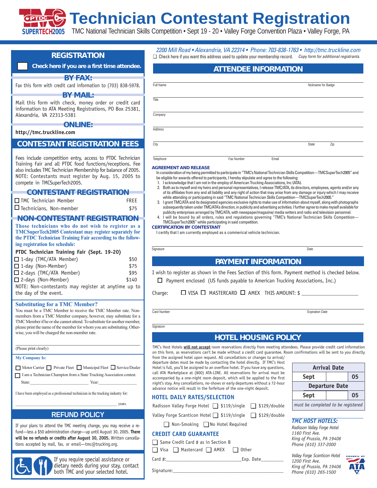# **Technician Contestant Registration**

SUPERTECH2005 TMC National Technician Skills Competition • Sept 19 - 20 • Valley Forge Convention Plaza • Valley Forge, PA

### **REGISTRATION**

### **Check here if you are a first time attendee.**

### **BY FAX:**

Fax this form with credit card information to (703) 838-5978.

### **BY MAIL:**

Mail this form with check, money order or credit card information to ATA Meeting Registrations, PO Box 25381, Alexandria, VA 22313-5381

### **ONLINE:**

### **http://tmc.truckline.com**

### **CONTESTANT REGISTRATION FEES**

Fees include competition entry, access to PTDC Technician Training Fair and all PTDC food functions/receptions. Fee also includes TMC Technician Membership for balance of 2005. NOTE: Contestants must register by Aug. 15, 2005 to compete in TMCSuperTech2005.

### **CONTESTANT REGISTRATION**

| $\Box$ TMC Technician Member   | FREE |
|--------------------------------|------|
| $\Box$ Technicians, Non-member | \$75 |

### **NON-CONTESTANT REGISTRATION**

**Those technicians who do not wish to register as a TMCSuperTech2005 Contestant may register separately for the PTDC Technician Training Fair according to the following registration fee schedule:**

### **PTDC Technician Training Fair (Sept. 19-20)**

| $\Box$ 1-day (TMC/ATA Member)                       | \$50  |
|-----------------------------------------------------|-------|
| $\Box$ 1-day (Non-Member)                           | \$75  |
| $\Box$ 2-days (TMC/ATA Member)                      | \$95  |
| $\Box$ 2-days (Non-Member)                          | \$140 |
| NOTE: Non-contestants may register at anytime up to |       |
| the day of the event.                               |       |

### **Substituting for a TMC Member?**

You must be a TMC Member to receive the TMC Member rate. Nonmembers from a TMC Member company, however, may substitute for a TMC Member if he or she cannot attend. To substitute for another member, please print the name of the member for whom you are substituting. Otherwise, you will be charged the non-member rate.

\_\_\_\_\_\_\_\_\_\_\_\_\_\_\_\_\_\_\_\_\_\_\_\_\_\_\_\_\_\_\_\_\_\_\_\_\_\_\_\_\_\_\_\_\_\_\_\_\_\_\_\_\_\_\_\_\_\_\_\_\_\_\_\_\_\_\_\_\_\_\_\_\_\_\_\_\_\_\_\_\_\_\_\_\_\_\_\_\_\_\_\_\_\_\_\_\_\_\_\_\_\_\_\_\_\_\_\_\_\_\_\_\_\_\_\_\_\_\_\_\_\_\_\_\_\_\_\_\_\_\_\_\_\_\_\_\_\_\_\_\_\_\_\_\_\_\_\_\_\_\_ (Please print clearly)

**My Company Is:**

Motor Carrier Private Fleet Municipal Fleet Service/Dealer I am a Technician Champion from a State Trucking Association contest.

State:\_\_\_\_\_\_\_\_\_\_\_\_\_\_\_\_\_\_\_\_\_\_\_\_\_\_\_\_\_ Year:\_\_\_\_\_\_\_\_\_\_\_\_\_\_\_\_\_\_\_

I have been employed as a professional technician in the trucking industry for:

years.

### **REFUND POLICY**

If your plans to attend the TMC meeting change, you may receive a refund—less a \$50 administration charge—up until August 30, 2005. **There will be no refunds or credits after August 30, 2005.** Written cancellations accepted by mail, fax, or email—tmc@trucking.org.



If you require special assistance or dietary needs during your stay, contact both TMC and your selected hotel.

2200 Mill Road • Alexandria, VA 22314 • ␣ Phone: 703-838-1763 • http://tmc.truckline.com □ Check here if you want this address used to update your membership record. Copy form for additional registrants.

### **ATTENDEE INFORMATION**

| Full Name | Nickname for Badge |
|-----------|--------------------|
| Title     |                    |
| Company   |                    |
| Address   |                    |
| City      | Zip<br>State       |

Telephone Email **Fax Number** Email

### *AGREEMENT AND RELEASE*

In consideration of my being permitted to participate in "TMC's National Technician Skills Competition—TMCSuperTech2005" and be eligible for awards offered to participants, I hereby stipulate and agree to the following:

- 1. I acknowledge that I am not in the employ of American Trucking Associations, Inc (ATA).
- 2. Both as to myself and my heirs and personal representatives, I release TMC/ATA, its directors, employees, agents and/or any of its affiliates from any and all liability and any right of action that may arise from any damage or injury which I may receive while attending or participating in said "TMC National Technician Skills Competition—TMCSuperTech2005."
- 3. I grant TMC/ATA and its designated agencies exclusive rights to make use of information about myself, along with photographs subsequently taken under TMC/ATA's direction, in publicity and advertising activities. I further agree to make myself available for publicity enterprises arranged by TMC/ATA, with newspaper/magazine/ media writers and radio and television personnel.
- 4. I will be bound by all orders, rules and regulations governing "TMC's National Technician Skills Competition— TMCSuperTech2005" while participating in said competition.

*CERTIFICATION BY CONTESTANT*

I certify that I am currently employed as a commerical vehicle technician.

Signature Date

### **PAYMENT INFORMATION**

I wish to register as shown in the Fees Section of this form. Payment method is checked below.

 $\Box$  Payment enclosed (US funds payable to American Trucking Associations, Inc.)

Charge:  $\Box$  VISA  $\Box$  MASTERCARD  $\Box$  AMEX THIS AMOUNT: \$

**Signature** 

Card Number Expiration Date

### **HOTEL HOUSING POLICY**

TMC's Host Hotels **will not accept** room reservations directly from meeting attendees. Please provide credit card information on this form, as reservations can't be made without a credit card guarantee. Room confirmations will be sent to you directly

from the assigned hotel upon request. All cancellations or changes to arrival/ departure dates must be made by contacting the hotel directly. If TMC's Host Hotel is full, you'll be assigned to an overflow hotel. If you have any questions, call ATA Marketplace at (800) ATA-LINE. All reservations for arrival must be accompanied by a one-night room deposit, which will be applied to the first night's stay. Any cancellations, no-shows or early departures without a 72-hour advance notice will result in the forfeiture of the one-night deposit.

### **Arrival Date Sept 05 Departure Date Sept** | 05 *must be completed to be registered*

### **HOTEL DAILY RATES/SELECTION**

Radisson Valley Forge Hotel ❏ \$119/single ❏ \$129/double

Valley Forge Scanticon Hotel ❏ \$119/single ❏ \$129/double

❏ Non-Smoking ❏ No Hotel Required

### **CREDIT CARD GUARANTEE**

❏ Same Credit Card # as in Section B

❏ Visa ❏ Mastercard ❏ AMEX ❏ Other

Signature:

*TMC HOST HOTELS:*

*Radisson Valley Forge Hotel 1160 First Ave. King of Prussia, PA 19406 Phone (610) 337-2000*

*Valley Forge Scanticon Hotel 1200 First Ave. King of Prussia, PA 19406 Phone (610) 265-1500* 



Card #: Exp. Date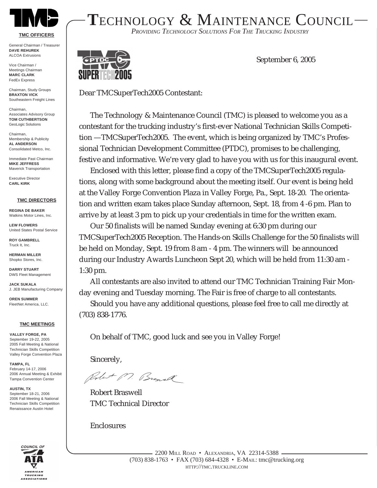

### **TMC OFFICERS**

General Chairman / Treasurer **DAVE REHUREK** ALCOA Extrusions

Vice Chairman / Meetings Chairman **MARC CLARK** FedEx Express

Chairman, Study Groups **BRAXTON VICK** Southeastern Freight Lines

Chairman, Associates Advisory Group **TOM CUTHBERTSON** GeoLogic Solutions

Chairman, Membership & Publicity **AL ANDERSON** Consolidated Metco, Inc.

Immediate Past Chairman **MIKE JEFFRESS** Maverick Transportation

Executive Director **CARL KIRK**

### **TMC DIRECTORS**

**REGINA DE BAKER** Watkins Motor Lines, Inc.

**LEW FLOWERS** United States Postal Service

**ROY GAMBRELL** Truck It, Inc.

**HERMAN MILLER** Shopko Stores, Inc.

**DARRY STUART** DWS Fleet Management

**JACK SUKALA** J. JEB Manufacturing Company

**OREN SUMMER** FleetNet America, LLC.

**TMC MEETINGS**

**VALLEY FORGE, PA** September 19-22, 2005 2005 Fall Meeting & National Technician Skills Competition Valley Forge Convention Plaza

**TAMPA, FL** February 14-17, 2006 2006 Annual Meeting & Exhibit Tampa Convention Center

**AUSTIN, TX** September 18-21, 2006 2006 Fall Meeting & National Technician Skills Competition Renaissance Austin Hotel



**T**ECHNOLOGY & MAINTENANCE COUNCIL

*PROVIDING TECHNOLOGY SOLUTIONS FOR THE TRUCKING INDUSTRY*



September 6, 2005

Dear TMCSuperTech2005 Contestant:

The Technology & Maintenance Council (TMC) is pleased to welcome you as a contestant for the trucking industry's first-ever National Technician Skills Competition —TMCSuperTech2005. The event, which is being organized by TMC's Professional Technician Development Committee (PTDC), promises to be challenging, festive and informative. We're very glad to have you with us for this inaugural event.

Enclosed with this letter, please find a copy of the TMCSuperTech2005 regulations, along with some background about the meeting itself. Our event is being held at the Valley Forge Convention Plaza in Valley Forge, Pa., Sept. 18-20. The orientation and written exam takes place Sunday afternoon, Sept. 18, from 4 -6 pm. Plan to arrive by at least 3 pm to pick up your credentials in time for the written exam.

Our 50 finalists will be named Sunday evening at 6:30 pm during our TMCSuperTech2005 Reception. The Hands-on Skills Challenge for the 50 finalists will be held on Monday, Sept. 19 from 8 am - 4 pm. The winners will be announced during our Industry Awards Luncheon Sept 20, which will be held from 11:30 am - 1:30 pm.

All contestants are also invited to attend our TMC Technician Training Fair Monday evening and Tuesday morning. The Fair is free of charge to all contestants.

Should you have any additional questions, please feel free to call me directly at (703) 838-1776.

On behalf of TMC, good luck and see you in Valley Forge!

Sincerely,

Robert M. Browell

Robert Braswell TMC Technical Director

Enclosures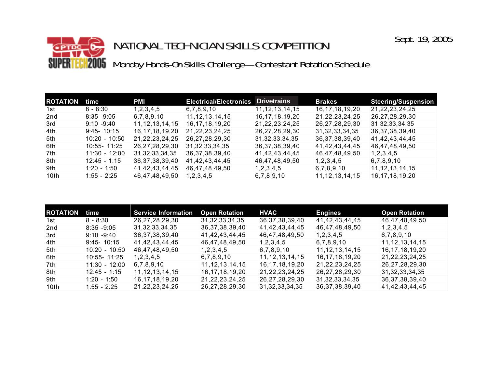## NATIONAL TECHNICIAN SKILLS COMPETITION **CH2005** Monday Hands-On Skills Challenge—Contestant Rotation Schedule SUPER

| <b>ROTATION</b>  | time            | <b>PMI</b>         | <b>Electrical/Electronics</b> | <b>Drivetrains</b> | <b>Brakes</b>      | <b>Steering/Suspension</b> |
|------------------|-----------------|--------------------|-------------------------------|--------------------|--------------------|----------------------------|
| 1st              | $8 - 8:30$      | 1, 2, 3, 4, 5      | 6,7,8,9,10                    | 11, 12, 13, 14, 15 | 16, 17, 18, 19, 20 | 21, 22, 23, 24, 25         |
| 2nd              | $8:35 - 9:05$   | 6,7,8,9,10         | 11, 12, 13, 14, 15            | 16, 17, 18, 19, 20 | 21, 22, 23, 24, 25 | 26,27,28,29,30             |
| 3rd              | $9:10 - 9:40$   | 11, 12, 13, 14, 15 | 16, 17, 18, 19, 20            | 21, 22, 23, 24, 25 | 26,27,28,29,30     | 31, 32, 33, 34, 35         |
| 4th              | $9:45 - 10:15$  | 16, 17, 18, 19, 20 | 21, 22, 23, 24, 25            | 26,27,28,29,30     | 31, 32, 33, 34, 35 | 36, 37, 38, 39, 40         |
| 5th              | $10:20 - 10:50$ | 21, 22, 23, 24, 25 | 26, 27, 28, 29, 30            | 31, 32, 33, 34, 35 | 36, 37, 38, 39, 40 | 41,42,43,44,45             |
| 6th              | 10:55-11:25     | 26,27,28,29,30     | 31, 32, 33, 34, 35            | 36, 37, 38, 39, 40 | 41,42,43,44,45     | 46,47,48,49,50             |
| 7th              | $11:30 - 12:00$ | 31, 32, 33, 34, 35 | 36, 37, 38, 39, 40            | 41,42,43,44,45     | 46,47,48,49,50     | 1, 2, 3, 4, 5              |
| 8th              | $12:45 - 1:15$  | 36, 37, 38, 39, 40 | 41,42,43,44,45                | 46,47,48,49,50     | 1, 2, 3, 4, 5      | 6,7,8,9,10                 |
| 9th              | $1:20 - 1:50$   | 41,42,43,44,45     | 46,47,48,49,50                | 1, 2, 3, 4, 5      | 6,7,8,9,10         | 11, 12, 13, 14, 15         |
| 10 <sub>th</sub> | $1:55 - 2:25$   | 46,47,48,49,50     | 1, 2, 3, 4, 5                 | 6,7,8,9,10         | 11, 12, 13, 14, 15 | 16, 17, 18, 19, 20         |

| <b>ROTATION</b> | time            | <b>Service Information</b> | <b>Open Rotation</b> | <b>HVAC</b>        | <b>Engines</b>     | <b>Open Rotation</b> |
|-----------------|-----------------|----------------------------|----------------------|--------------------|--------------------|----------------------|
| 1st             | $8 - 8:30$      | 26, 27, 28, 29, 30         | 31, 32, 33, 34, 35   | 36, 37, 38, 39, 40 | 41,42,43,44,45     | 46,47,48,49,50       |
| 2nd             | $8:35 - 9:05$   | 31, 32, 33, 34, 35         | 36, 37, 38, 39, 40   | 41,42,43,44,45     | 46,47,48,49,50     | 1, 2, 3, 4, 5        |
| 3rd             | $9:10 - 9:40$   | 36, 37, 38, 39, 40         | 41,42,43,44,45       | 46,47,48,49,50     | 1, 2, 3, 4, 5      | 6,7,8,9,10           |
| 4th             | $9:45 - 10:15$  | 41,42,43,44,45             | 46,47,48,49,50       | 1, 2, 3, 4, 5      | 6,7,8,9,10         | 11, 12, 13, 14, 15   |
| 5th             | $10:20 - 10:50$ | 46,47,48,49,50             | 1, 2, 3, 4, 5        | 6,7,8,9,10         | 11, 12, 13, 14, 15 | 16, 17, 18, 19, 20   |
| 6th             | 10:55- 11:25    | 1, 2, 3, 4, 5              | 6,7,8,9,10           | 11, 12, 13, 14, 15 | 16, 17, 18, 19, 20 | 21, 22, 23, 24, 25   |
| 7th             | $11:30 - 12:00$ | 6,7,8,9,10                 | 11, 12, 13, 14, 15   | 16, 17, 18, 19, 20 | 21, 22, 23, 24, 25 | 26,27,28,29,30       |
| 8th             | $12:45 - 1:15$  | 11, 12, 13, 14, 15         | 16, 17, 18, 19, 20   | 21, 22, 23, 24, 25 | 26, 27, 28, 29, 30 | 31, 32, 33, 34, 35   |
| 9th             | $1:20 - 1:50$   | 16, 17, 18, 19, 20         | 21, 22, 23, 24, 25   | 26,27,28,29,30     | 31, 32, 33, 34, 35 | 36, 37, 38, 39, 40   |
| 10th            | $1:55 - 2:25$   | 21, 22, 23, 24, 25         | 26, 27, 28, 29, 30   | 31, 32, 33, 34, 35 | 36, 37, 38, 39, 40 | 41,42,43,44,45       |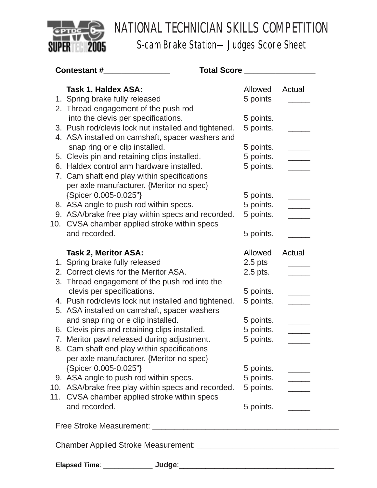

S-cam Brake Station—Judges Score Sheet

| Contestant #_________________                        | Total Score <b>with the Score and Score and Score and Score and Score and Score and Score and Score and Score and S</b> |                                                                                       |
|------------------------------------------------------|-------------------------------------------------------------------------------------------------------------------------|---------------------------------------------------------------------------------------|
| Task 1, Haldex ASA:                                  | Allowed                                                                                                                 | Actual                                                                                |
| 1. Spring brake fully released                       | 5 points                                                                                                                |                                                                                       |
| 2. Thread engagement of the push rod                 |                                                                                                                         |                                                                                       |
| into the clevis per specifications.                  | 5 points.                                                                                                               |                                                                                       |
| 3. Push rod/clevis lock nut installed and tightened. | 5 points.                                                                                                               |                                                                                       |
| 4. ASA installed on camshaft, spacer washers and     |                                                                                                                         |                                                                                       |
| snap ring or e clip installed.                       | 5 points.                                                                                                               |                                                                                       |
| 5. Clevis pin and retaining clips installed.         | 5 points.                                                                                                               |                                                                                       |
| 6. Haldex control arm hardware installed.            | 5 points.                                                                                                               |                                                                                       |
| 7. Cam shaft end play within specifications          |                                                                                                                         |                                                                                       |
| per axle manufacturer. {Meritor no spec}             |                                                                                                                         |                                                                                       |
| {Spicer 0.005-0.025"}                                | 5 points.                                                                                                               |                                                                                       |
| 8. ASA angle to push rod within specs.               | 5 points.                                                                                                               |                                                                                       |
| 9. ASA/brake free play within specs and recorded.    | 5 points.                                                                                                               |                                                                                       |
| 10. CVSA chamber applied stroke within specs         |                                                                                                                         |                                                                                       |
| and recorded.                                        | 5 points.                                                                                                               |                                                                                       |
| <b>Task 2, Meritor ASA:</b>                          | Allowed                                                                                                                 | Actual                                                                                |
| 1. Spring brake fully released                       | $2.5$ pts                                                                                                               |                                                                                       |
| 2. Correct clevis for the Meritor ASA.               | $2.5$ pts.                                                                                                              |                                                                                       |
| 3. Thread engagement of the push rod into the        |                                                                                                                         |                                                                                       |
| clevis per specifications.                           | 5 points.                                                                                                               |                                                                                       |
| 4. Push rod/clevis lock nut installed and tightened. | 5 points.                                                                                                               |                                                                                       |
| 5. ASA installed on camshaft, spacer washers         |                                                                                                                         |                                                                                       |
| and snap ring or e clip installed.                   | 5 points.                                                                                                               |                                                                                       |
| 6. Clevis pins and retaining clips installed.        | 5 points.                                                                                                               |                                                                                       |
| 7. Meritor pawl released during adjustment.          | 5 points.                                                                                                               |                                                                                       |
| 8. Cam shaft end play within specifications          |                                                                                                                         |                                                                                       |
| per axle manufacturer. {Meritor no spec}             |                                                                                                                         |                                                                                       |
| {Spicer 0.005-0.025"}                                | 5 points.                                                                                                               |                                                                                       |
| 9. ASA angle to push rod within specs.               | 5 points.                                                                                                               | $\frac{1}{2} \left( \frac{1}{2} \right)^2 + \frac{1}{2} \left( \frac{1}{2} \right)^2$ |
| 10. ASA/brake free play within specs and recorded.   |                                                                                                                         |                                                                                       |
| 11. CVSA chamber applied stroke within specs         |                                                                                                                         |                                                                                       |
| and recorded.                                        | 5 points.                                                                                                               |                                                                                       |
|                                                      |                                                                                                                         |                                                                                       |
|                                                      |                                                                                                                         |                                                                                       |
|                                                      |                                                                                                                         |                                                                                       |
|                                                      |                                                                                                                         |                                                                                       |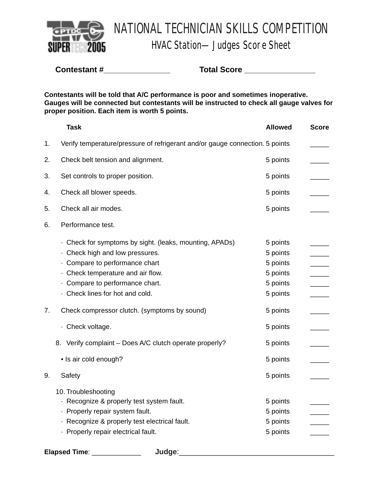

HVAC Station—Judges Score Sheet

**Contestant #\_\_\_\_\_\_\_\_\_\_\_\_\_\_\_ Total Score \_\_\_\_\_\_\_\_\_\_\_\_\_\_\_\_**

**Contestants will be told that A/C performance is poor and sometimes inoperative. Gauges will be connected but contestants will be instructed to check all gauge valves for proper position. Each item is worth 5 points.**

|    | <b>Task</b>                                                                  | <b>Allowed</b> | <b>Score</b> |
|----|------------------------------------------------------------------------------|----------------|--------------|
| 1. | Verify temperature/pressure of refrigerant and/or gauge connection. 5 points |                |              |
| 2. | Check belt tension and alignment.                                            | 5 points       |              |
| 3. | Set controls to proper position.                                             | 5 points       |              |
| 4. | Check all blower speeds.                                                     | 5 points       |              |
| 5. | Check all air modes.                                                         | 5 points       |              |
| 6. | Performance test.                                                            |                |              |
|    | Check for symptoms by sight. (leaks, mounting, APADs)                        | 5 points       |              |
|    | . Check high and low pressures.                                              | 5 points       |              |
|    | · Compare to performance chart                                               | 5 points       |              |
|    | · Check temperature and air flow.                                            | 5 points       |              |
|    | · Compare to performance chart.                                              | 5 points       |              |
|    | · Check lines for hot and cold.                                              | 5 points       |              |
| 7. | Check compressor clutch. (symptoms by sound)                                 | 5 points       |              |
|    | · Check voltage.                                                             | 5 points       |              |
|    | 8. Verify complaint - Does A/C clutch operate properly?                      | 5 points       |              |
|    | • Is air cold enough?                                                        | 5 points       |              |
| 9. | Safety                                                                       | 5 points       |              |
|    | 10. Troubleshooting                                                          |                |              |
|    | · Recognize & properly test system fault.                                    | 5 points       |              |
|    | · Properly repair system fault.                                              | 5 points       |              |
|    | · Recognize & properly test electrical fault.                                | 5 points       |              |
|    | · Properly repair electrical fault.                                          | 5 points       |              |

**Elapsed Time**: \_\_\_\_\_\_\_\_\_\_\_\_\_ **Judge**:\_\_\_\_\_\_\_\_\_\_\_\_\_\_\_\_\_\_\_\_\_\_\_\_\_\_\_\_\_\_\_\_\_\_\_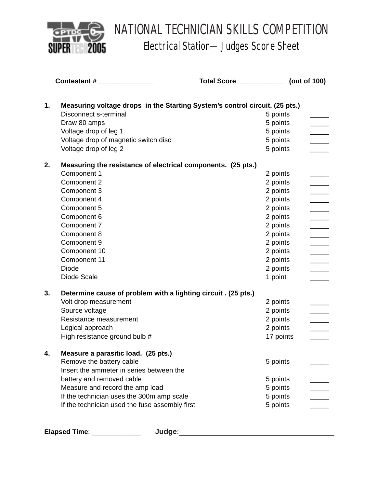

Electrical Station—Judges Score Sheet

|    | Contestant #                                                                | <b>Total Score Contract 1000</b> | (out of 100) |
|----|-----------------------------------------------------------------------------|----------------------------------|--------------|
| 1. | Measuring voltage drops in the Starting System's control circuit. (25 pts.) |                                  |              |
|    | Disconnect s-terminal                                                       |                                  | 5 points     |
|    | Draw 80 amps                                                                |                                  | 5 points     |
|    | Voltage drop of leg 1                                                       |                                  | 5 points     |
|    | Voltage drop of magnetic switch disc                                        |                                  | 5 points     |
|    | Voltage drop of leg 2                                                       |                                  | 5 points     |
| 2. | Measuring the resistance of electrical components. (25 pts.)                |                                  |              |
|    | Component 1                                                                 |                                  | 2 points     |
|    | Component 2                                                                 |                                  | 2 points     |
|    | Component 3                                                                 |                                  | 2 points     |
|    | Component 4                                                                 |                                  | 2 points     |
|    | Component 5                                                                 |                                  | 2 points     |
|    | Component 6                                                                 |                                  | 2 points     |
|    | Component 7                                                                 |                                  | 2 points     |
|    | Component 8                                                                 |                                  | 2 points     |
|    | Component 9                                                                 |                                  | 2 points     |
|    | Component 10                                                                |                                  | 2 points     |
|    | Component 11                                                                |                                  | 2 points     |
|    | <b>Diode</b>                                                                |                                  | 2 points     |
|    | Diode Scale                                                                 |                                  | 1 point      |
| 3. | Determine cause of problem with a lighting circuit . (25 pts.)              |                                  |              |
|    | Volt drop measurement                                                       |                                  | 2 points     |
|    | Source voltage                                                              |                                  | 2 points     |
|    | Resistance measurement                                                      |                                  | 2 points     |
|    | Logical approach                                                            |                                  | 2 points     |
|    | High resistance ground bulb #                                               |                                  | 17 points    |
|    | Measure a parasitic load. (25 pts.)                                         |                                  |              |
|    | Remove the battery cable                                                    |                                  | 5 points     |
|    | Insert the ammeter in series between the                                    |                                  |              |
|    | battery and removed cable                                                   |                                  | 5 points     |
|    | Measure and record the amp load                                             |                                  | 5 points     |
|    | If the technician uses the 300m amp scale                                   |                                  | 5 points     |
|    | If the technician used the fuse assembly first                              |                                  | 5 points     |
|    |                                                                             |                                  |              |

**Elapsed Time**: \_\_\_\_\_\_\_\_\_\_\_\_\_ **Judge**:\_\_\_\_\_\_\_\_\_\_\_\_\_\_\_\_\_\_\_\_\_\_\_\_\_\_\_\_\_\_\_\_\_\_\_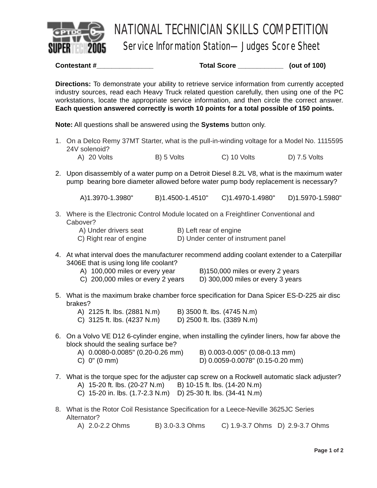

Service Information Station—Judges Score Sheet

**Contestant # Total Score [201] Contestant # Total Score** (out of 100)

**Directions:** To demonstrate your ability to retrieve service information from currently accepted industry sources, read each Heavy Truck related question carefully, then using one of the PC workstations, locate the appropriate service information, and then circle the correct answer. **Each question answered correctly is worth 10 points for a total possible of 150 points.**

**Note:** All questions shall be answered using the **Systems** button only.

- 1. On a Delco Remy 37MT Starter, what is the pull-in-winding voltage for a Model No. 1115595 24V solenoid? A) 20 Volts B) 5 Volts C) 10 Volts D) 7.5 Volts
- 
- 2. Upon disassembly of a water pump on a Detroit Diesel 8.2L V8, what is the maximum water pump bearing bore diameter allowed before water pump body replacement is necessary?

A)1.3970-1.3980" B)1.4500-1.4510" C)1.4970-1.4980" D)1.5970-1.5980"

3. Where is the Electronic Control Module located on a Freightliner Conventional and Cabover?

| A) Under drivers seat   | B) Left rear of engine              |
|-------------------------|-------------------------------------|
| C) Right rear of engine | D) Under center of instrument panel |

- 4. At what interval does the manufacturer recommend adding coolant extender to a Caterpillar 3406E that is using long life coolant?
	-
	-

A) 100,000 miles or every year B)150,000 miles or every 2 years

- C) 200,000 miles or every 2 years D) 300,000 miles or every 3 years
- 5. What is the maximum brake chamber force specification for Dana Spicer ES-D-225 air disc brakes?

| A) 2125 ft. lbs. (2881 N.m) |  | B) 3500 ft. lbs. (4745 N.m) |  |  |
|-----------------------------|--|-----------------------------|--|--|
| C) 3125 ft. lbs. (4237 N.m) |  | D) 2500 ft. lbs. (3389 N.m) |  |  |

6. On a Volvo VE D12 6-cylinder engine, when installing the cylinder liners, how far above the block should the sealing surface be?

| A) 0.0080-0.0085" (0.20-0.26 mm) |  |
|----------------------------------|--|
| C) 0" (0 mm)                     |  |

B) 0.003-0.005" (0.08-0.13 mm)

- D) 0.0059-0.0078" (0.15-0.20 mm)
- 7. What is the torque spec for the adjuster cap screw on a Rockwell automatic slack adjuster?
	- A) 15-20 ft. lbs. (20-27 N.m) B) 10-15 ft. lbs. (14-20 N.m)
	- C) 15-20 in. lbs. (1.7-2.3 N.m) D) 25-30 ft. lbs. (34-41 N.m)
- 8. What is the Rotor Coil Resistance Specification for a Leece-Neville 3625JC Series Alternator?

A) 2.0-2.2 Ohms B) 3.0-3.3 Ohms C) 1.9-3.7 Ohms D) 2.9-3.7 Ohms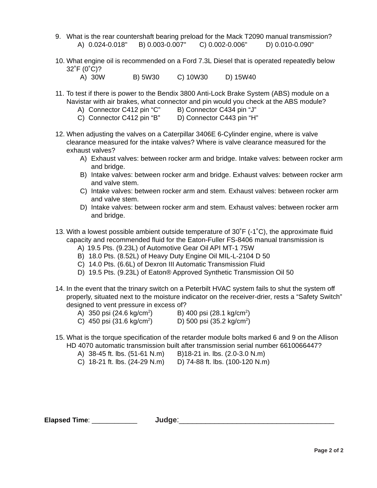- 9. What is the rear countershaft bearing preload for the Mack T2090 manual transmission? A) 0.024-0.018" B) 0.003-0.007" C) 0.002-0.006" D) 0.010-0.090"
- 10. What engine oil is recommended on a Ford 7.3L Diesel that is operated repeatedly below 32˚F (0˚C)?
	- A) 30W B) 5W30 C) 10W30 D) 15W40
- 11. To test if there is power to the Bendix 3800 Anti-Lock Brake System (ABS) module on a Navistar with air brakes, what connector and pin would you check at the ABS module?
	- A) Connector C412 pin "C" B) Connector C434 pin "J"
	- C) Connector C412 pin "B" D) Connector C443 pin "H"
- 12. When adjusting the valves on a Caterpillar 3406E 6-Cylinder engine, where is valve clearance measured for the intake valves? Where is valve clearance measured for the exhaust valves?
	- A) Exhaust valves: between rocker arm and bridge. Intake valves: between rocker arm and bridge.
	- B) Intake valves: between rocker arm and bridge. Exhaust valves: between rocker arm and valve stem.
	- C) Intake valves: between rocker arm and stem. Exhaust valves: between rocker arm and valve stem.
	- D) Intake valves: between rocker arm and stem. Exhaust valves: between rocker arm and bridge.
- 13. With a lowest possible ambient outside temperature of 30˚F (-1˚C), the approximate fluid capacity and recommended fluid for the Eaton-Fuller FS-8406 manual transmission is
	- A) 19.5 Pts. (9.23L) of Automotive Gear Oil API MT-1 75W
	- B) 18.0 Pts. (8.52L) of Heavy Duty Engine Oil MIL-L-2104 D 50
	- C) 14.0 Pts. (6.6L) of Dexron III Automatic Transmission Fluid
	- D) 19.5 Pts. (9.23L) of Eaton® Approved Synthetic Transmission Oil 50
- 14. In the event that the trinary switch on a Peterbilt HVAC system fails to shut the system off properly, situated next to the moisture indicator on the receiver-drier, rests a "Safety Switch" designed to vent pressure in excess of?
	- A) 350 psi (24.6 kg/cm2 ) B) 400 psi (28.1 kg/cm2 )
	- C) 450 psi  $(31.6 \text{ kg/cm}^2)$ ) D) 500 psi (35.2 kg/cm<sup>2</sup>)
- 15. What is the torque specification of the retarder module bolts marked 6 and 9 on the Allison HD 4070 automatic transmission built after transmission serial number 6610066447?
	- A) 38-45 ft. lbs. (51-61 N.m) B)18-21 in. lbs. (2.0-3.0 N.m)
	- C) 18-21 ft. lbs. (24-29 N.m) D) 74-88 ft. lbs. (100-120 N.m)

**Elapsed Time**: \_\_\_\_\_\_\_\_\_\_\_\_ **Judge**:\_\_\_\_\_\_\_\_\_\_\_\_\_\_\_\_\_\_\_\_\_\_\_\_\_\_\_\_\_\_\_\_\_\_\_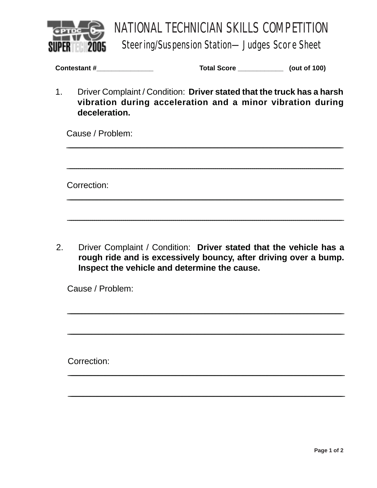

**Steering/Suspension Station-Judges Score Sheet** 

| Contestant# |  |
|-------------|--|
|-------------|--|

Total Score \_\_\_\_\_\_\_\_\_\_\_\_\_\_\_ (out of 100)

 $1<sub>1</sub>$ Driver Complaint / Condition: Driver stated that the truck has a harsh vibration during acceleration and a minor vibration during deceleration.

Cause / Problem:

Correction:

Driver Complaint / Condition: Driver stated that the vehicle has a  $2<sup>1</sup>$ rough ride and is excessively bouncy, after driving over a bump. Inspect the vehicle and determine the cause.

Cause / Problem:

Correction: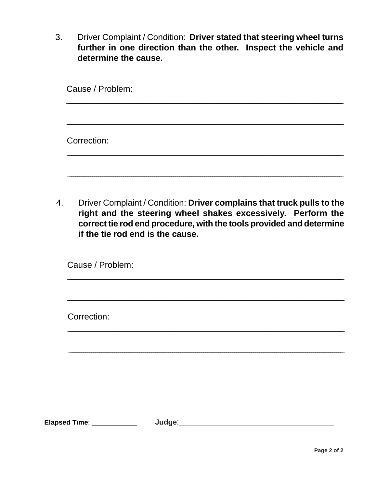Driver Complaint / Condition: Driver stated that steering wheel turns  $3<sub>1</sub>$ further in one direction than the other. Inspect the vehicle and determine the cause.

| Cause / Problem: |  |  |  |  |
|------------------|--|--|--|--|
|                  |  |  |  |  |
| Correction:      |  |  |  |  |
|                  |  |  |  |  |

Driver Complaint / Condition: Driver complains that truck pulls to the  $4.$ right and the steering wheel shakes excessively. Perform the correct tie rod end procedure, with the tools provided and determine if the tie rod end is the cause.

Cause / Problem:

Correction:

Elapsed Time: \_\_\_\_\_\_\_\_\_\_\_\_\_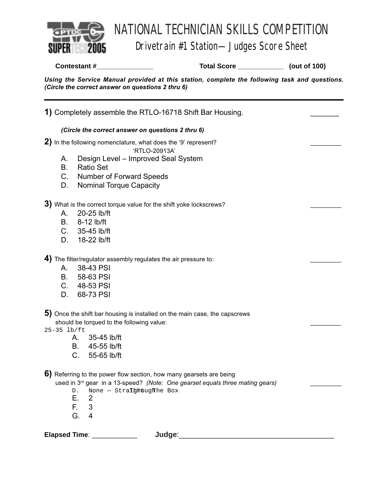

## Drivetrain #1 Station—Judges Score Sheet

**Contestant #\_\_\_\_\_\_\_\_\_\_\_\_\_\_\_ Total Score \_\_\_\_\_\_\_\_\_\_\_\_ (out of 100)**

*Using the Service Manual provided at this station, complete the following task and questions. (Circle the correct answer on questions 2 thru 6)*

**1)** Completely assemble the RTLO-16718 Shift Bar Housing. \_\_\_\_\_\_\_ *(Circle the correct answer on questions 2 thru 6)* 2) In the following nomenclature, what does the '9' represent? 'RTLO-20913A' A. Design Level – Improved Seal System B. Ratio Set C. Number of Forward Speeds D. Nominal Torque Capacity **3)** What is the correct torque value for the shift yoke lockscrews? A. 20-25 lb/ft B. 8-12 lb/ft C. 35-45 lb/ft D. 18-22 lb/ft 4) The filter/regulator assembly regulates the air pressure to: A. 38-43 PSI B. 58-63 PSI C. 48-53 PSI D. 68-73 PSI **5)** Once the shift bar housing is installed on the main case, the capscrews should be torqued to the following value: 25-35 lb/ft A. 35-45 lb/ft B. 45-55 lb/ft C. 55-65 lb/ft **6)** Referring to the power flow section, how many gearsets are being used in 3rd gear in a 13-speed? *(Note: One gearset equals three mating gears)* \_\_\_\_\_\_\_\_\_  $D.$  None – Stra**Thhough** he Box E. 2 F. 3 G. 4 **Elapsed Time**: \_\_\_\_\_\_\_\_\_\_\_\_ **Judge**:\_\_\_\_\_\_\_\_\_\_\_\_\_\_\_\_\_\_\_\_\_\_\_\_\_\_\_\_\_\_\_\_\_\_\_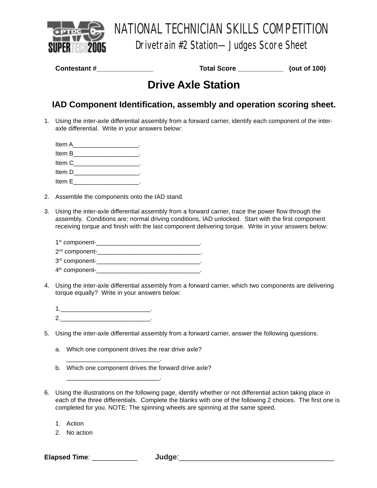

Drivetrain #2 Station—Judges Score Sheet

**Contestant #** 2001 2012 2012 2014 2014 2014 2015 2016 2017 2014 2015 2016 2017 2018 2017 2018 2019 2016 2017 20

# **Drive Axle Station**

## **IAD Component Identification, assembly and operation scoring sheet.**

- 1. Using the inter-axle differential assembly from a forward carrier, identify each component of the interaxle differential. Write in your answers below:
	- Item A<sup>direct</sup> and the set of the set of the set of the set of the set of the set of the set of the set of the set of the set of the set of the set of the set of the set of the set of the set of the set of the set of the s Item B Item C is a set of the contract of the contract of the contract of the contract of the contract of the contract of the contract of the contract of the contract of the contract of the contract of the contract of the contrac Item D Item E
- 2. Assemble the components onto the IAD stand.
- 3. Using the inter-axle differential assembly from a forward carrier, trace the power flow through the assembly. Conditions are; normal driving conditions, IAD unlocked. Start with the first component receiving torque and finish with the last component delivering torque. Write in your answers below:

| 1 <sup>st</sup> component- |  |
|----------------------------|--|
| 2 <sup>nd</sup> component- |  |
| 3rd component-             |  |
| 4 <sup>th</sup> component- |  |

- 4. Using the inter-axle differential assembly from a forward carrier, which two components are delivering torque equally? Write in your answers below:
	- 1.\_\_\_\_\_\_\_\_\_\_\_\_\_\_\_\_\_\_\_\_\_\_\_\_\_\_. 2.
- 5. Using the inter-axle differential assembly from a forward carrier, answer the following questions.
	- a. Which one component drives the rear drive axle?

\_\_\_\_\_\_\_\_\_\_\_\_\_\_\_\_\_\_\_\_\_\_\_\_\_\_\_.

\_\_\_\_\_\_\_\_\_\_\_\_\_\_\_\_\_\_\_\_\_\_\_\_\_\_\_.

- b. Which one component drives the forward drive axle?
- 6. Using the illustrations on the following page, identify whether or not differential action taking place in each of the three differentials. Complete the blanks with one of the following 2 choices. The first one is completed for you. NOTE: The spinning wheels are spinning at the same speed.
	- 1. Action
	- 2. No action

**Elapsed Time**: \_\_\_\_\_\_\_\_\_\_\_\_ **Judge**:\_\_\_\_\_\_\_\_\_\_\_\_\_\_\_\_\_\_\_\_\_\_\_\_\_\_\_\_\_\_\_\_\_\_\_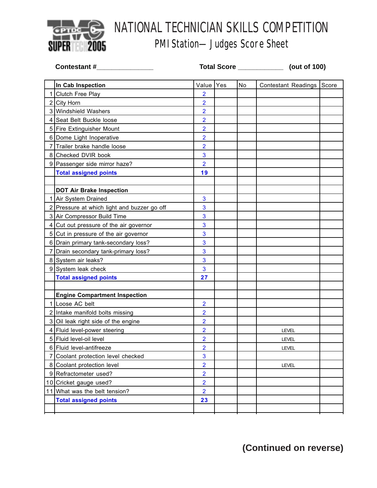

# PMI Station—Judges Score Sheet

| <b>Contestant #</b> |                                             | Total Score ____________ |            |    | (out of 100)               |       |  |
|---------------------|---------------------------------------------|--------------------------|------------|----|----------------------------|-------|--|
|                     | In Cab Inspection                           | Value                    | <b>Yes</b> | No | <b>Contestant Readings</b> | Score |  |
|                     | 1 Clutch Free Play                          | $\overline{2}$           |            |    |                            |       |  |
|                     | 2 City Horn                                 | $\overline{2}$           |            |    |                            |       |  |
|                     | 3 Windshield Washers                        | $\overline{2}$           |            |    |                            |       |  |
|                     | 4 Seat Belt Buckle loose                    | $\overline{2}$           |            |    |                            |       |  |
|                     | 5 Fire Extinguisher Mount                   | $\overline{2}$           |            |    |                            |       |  |
|                     | 6 Dome Light Inoperative                    | $\overline{2}$           |            |    |                            |       |  |
|                     | 7 Trailer brake handle loose                | $\overline{2}$           |            |    |                            |       |  |
|                     | 8 Checked DVIR book                         | 3                        |            |    |                            |       |  |
|                     | 9 Passenger side mirror haze?               | $\overline{2}$           |            |    |                            |       |  |
|                     | <b>Total assigned points</b>                | 19                       |            |    |                            |       |  |
|                     |                                             |                          |            |    |                            |       |  |
|                     | <b>DOT Air Brake Inspection</b>             |                          |            |    |                            |       |  |
|                     | 1 Air System Drained                        | 3                        |            |    |                            |       |  |
|                     | 2 Pressure at which light and buzzer go off | 3                        |            |    |                            |       |  |
|                     | 3 Air Compressor Build Time                 | 3                        |            |    |                            |       |  |
|                     | 4 Cut out pressure of the air governor      | 3                        |            |    |                            |       |  |
|                     | 5 Cut in pressure of the air governor       | 3                        |            |    |                            |       |  |
|                     | 6 Drain primary tank-secondary loss?        | 3                        |            |    |                            |       |  |
|                     | 7 Drain secondary tank-primary loss?        | 3                        |            |    |                            |       |  |
|                     | 8 System air leaks?                         | 3                        |            |    |                            |       |  |
|                     | 9 System leak check                         | 3                        |            |    |                            |       |  |
|                     | <b>Total assigned points</b>                | 27                       |            |    |                            |       |  |
|                     |                                             |                          |            |    |                            |       |  |
|                     | <b>Engine Compartment Inspection</b>        |                          |            |    |                            |       |  |
|                     | 1 Loose AC belt                             | $\overline{2}$           |            |    |                            |       |  |
|                     | 2 Intake manifold bolts missing             | $\overline{2}$           |            |    |                            |       |  |
|                     | 3 Oil leak right side of the engine         | $\overline{2}$           |            |    |                            |       |  |
|                     | 4   Fluid level-power steering              | $\overline{2}$           |            |    | LEVEL                      |       |  |
|                     | 5 Fluid level-oil level                     | $\overline{2}$           |            |    | <b>LEVEL</b>               |       |  |
|                     | 6 Fluid level-antifreeze                    | $\overline{2}$           |            |    | LEVEL                      |       |  |
|                     | 7 Coolant protection level checked          | 3                        |            |    |                            |       |  |
|                     | 8 Coolant protection level                  | $\overline{2}$           |            |    | <b>LEVEL</b>               |       |  |
|                     | 9 Refractometer used?                       | $\overline{2}$           |            |    |                            |       |  |
|                     | 10 Cricket gauge used?                      | $\overline{2}$           |            |    |                            |       |  |
|                     | 11 What was the belt tension?               | $\overline{2}$           |            |    |                            |       |  |
|                     | <b>Total assigned points</b>                | 23                       |            |    |                            |       |  |
|                     |                                             |                          |            |    |                            |       |  |

**(Continued on reverse)**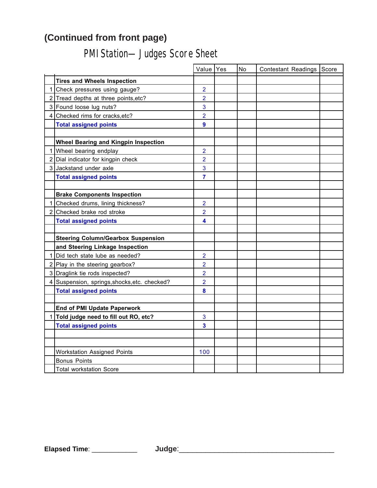# **(Continued from front page)**

# PMI Station—Judges Score Sheet

|             |                                              | Value Yes      | No | Contestant Readings Score |  |
|-------------|----------------------------------------------|----------------|----|---------------------------|--|
|             | <b>Tires and Wheels Inspection</b>           |                |    |                           |  |
| 1           | Check pressures using gauge?                 | $\overline{2}$ |    |                           |  |
|             | 2 Tread depths at three points, etc?         | $\overline{2}$ |    |                           |  |
|             | 3 Found loose lug nuts?                      | 3              |    |                           |  |
|             | 4 Checked rims for cracks, etc?              | $\overline{2}$ |    |                           |  |
|             | <b>Total assigned points</b>                 | 9              |    |                           |  |
|             |                                              |                |    |                           |  |
|             | <b>Wheel Bearing and Kingpin Inspection</b>  |                |    |                           |  |
|             | 1 Wheel bearing endplay                      | $\overline{2}$ |    |                           |  |
|             | 2 Dial indicator for kingpin check           | $\overline{2}$ |    |                           |  |
|             | 3 Jackstand under axle                       | 3              |    |                           |  |
|             | <b>Total assigned points</b>                 | $\overline{7}$ |    |                           |  |
|             |                                              |                |    |                           |  |
|             | <b>Brake Components Inspection</b>           |                |    |                           |  |
| $\mathbf 1$ | Checked drums, lining thickness?             | $\overline{2}$ |    |                           |  |
|             | 2 Checked brake rod stroke                   | $\overline{2}$ |    |                           |  |
|             | <b>Total assigned points</b>                 | 4              |    |                           |  |
|             |                                              |                |    |                           |  |
|             | <b>Steering Column/Gearbox Suspension</b>    |                |    |                           |  |
|             | and Steering Linkage Inspection              |                |    |                           |  |
| 1           | Did tech state lube as needed?               | $\overline{2}$ |    |                           |  |
|             | $2$ Play in the steering gearbox?            | $\overline{2}$ |    |                           |  |
|             | 3 Draglink tie rods inspected?               | $\overline{2}$ |    |                           |  |
|             | 4 Suspension, springs, shocks, etc. checked? | $\overline{2}$ |    |                           |  |
|             | <b>Total assigned points</b>                 | 8              |    |                           |  |
|             |                                              |                |    |                           |  |
|             | <b>End of PMI Update Paperwork</b>           |                |    |                           |  |
| 1           | Told judge need to fill out RO, etc?         | 3              |    |                           |  |
|             | <b>Total assigned points</b>                 | 3              |    |                           |  |
|             |                                              |                |    |                           |  |
|             |                                              |                |    |                           |  |
|             | <b>Workstation Assigned Points</b>           | 100            |    |                           |  |
|             | <b>Bonus Points</b>                          |                |    |                           |  |
|             | <b>Total workstation Score</b>               |                |    |                           |  |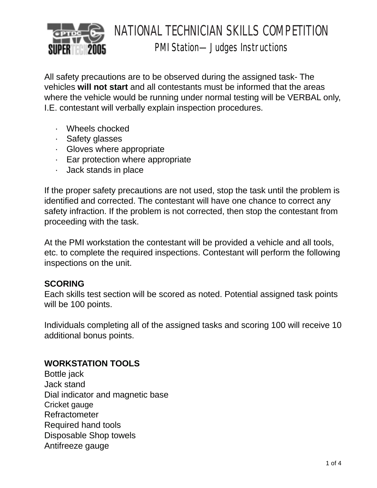

# NATIONAL TECHNICIAN SKILLS COMPETITION PMI Station—Judges Instructions

All safety precautions are to be observed during the assigned task- The vehicles **will not start** and all contestants must be informed that the areas where the vehicle would be running under normal testing will be VERBAL only, I.E. contestant will verbally explain inspection procedures.

- · Wheels chocked
- · Safety glasses
- · Gloves where appropriate
- · Ear protection where appropriate
- · Jack stands in place

If the proper safety precautions are not used, stop the task until the problem is identified and corrected. The contestant will have one chance to correct any safety infraction. If the problem is not corrected, then stop the contestant from proceeding with the task.

At the PMI workstation the contestant will be provided a vehicle and all tools, etc. to complete the required inspections. Contestant will perform the following inspections on the unit.

## **SCORING**

Each skills test section will be scored as noted. Potential assigned task points will be 100 points.

Individuals completing all of the assigned tasks and scoring 100 will receive 10 additional bonus points.

## **WORKSTATION TOOLS**

Bottle jack Jack stand Dial indicator and magnetic base Cricket gauge Refractometer Required hand tools Disposable Shop towels Antifreeze gauge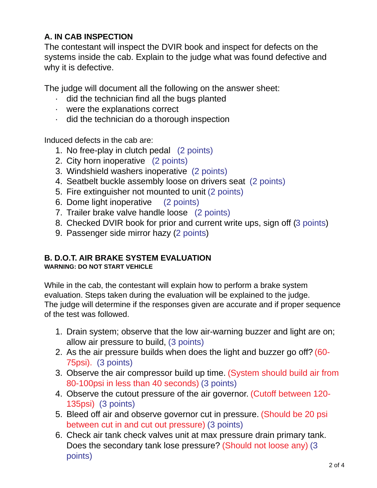## **A. IN CAB INSPECTION**

The contestant will inspect the DVIR book and inspect for defects on the systems inside the cab. Explain to the judge what was found defective and why it is defective.

The judge will document all the following on the answer sheet:

- · did the technician find all the bugs planted
- · were the explanations correct
- · did the technician do a thorough inspection

Induced defects in the cab are:

- 1. No free-play in clutch pedal (2 points)
- 2. City horn inoperative (2 points)
- 3. Windshield washers inoperative (2 points)
- 4. Seatbelt buckle assembly loose on drivers seat (2 points)
- 5. Fire extinguisher not mounted to unit (2 points)
- 6. Dome light inoperative (2 points)
- 7. Trailer brake valve handle loose (2 points)
- 8. Checked DVIR book for prior and current write ups, sign off (3 points)
- 9. Passenger side mirror hazy (2 points)

## **B. D.O.T. AIR BRAKE SYSTEM EVALUATION**

### **WARNING: DO NOT START VEHICLE**

While in the cab, the contestant will explain how to perform a brake system evaluation. Steps taken during the evaluation will be explained to the judge. The judge will determine if the responses given are accurate and if proper sequence of the test was followed.

- 1. Drain system; observe that the low air-warning buzzer and light are on; allow air pressure to build, (3 points)
- 2. As the air pressure builds when does the light and buzzer go off? (60- 75psi). (3 points)
- 3. Observe the air compressor build up time. (System should build air from 80-100psi in less than 40 seconds) (3 points)
- 4. Observe the cutout pressure of the air governor. (Cutoff between 120- 135psi) (3 points)
- 5. Bleed off air and observe governor cut in pressure. (Should be 20 psi between cut in and cut out pressure) (3 points)
- 6. Check air tank check valves unit at max pressure drain primary tank. Does the secondary tank lose pressure? (Should not loose any) (3 points)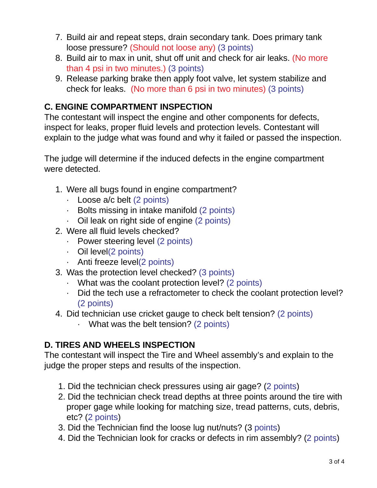- 7. Build air and repeat steps, drain secondary tank. Does primary tank loose pressure? (Should not loose any) (3 points)
- 8. Build air to max in unit, shut off unit and check for air leaks. (No more than 4 psi in two minutes.) (3 points)
- 9. Release parking brake then apply foot valve, let system stabilize and check for leaks. (No more than 6 psi in two minutes) (3 points)

## **C. ENGINE COMPARTMENT INSPECTION**

The contestant will inspect the engine and other components for defects, inspect for leaks, proper fluid levels and protection levels. Contestant will explain to the judge what was found and why it failed or passed the inspection.

The judge will determine if the induced defects in the engine compartment were detected.

- 1. Were all bugs found in engine compartment?
	- · Loose a/c belt (2 points)
	- · Bolts missing in intake manifold (2 points)
	- · Oil leak on right side of engine (2 points)
- 2. Were all fluid levels checked?
	- · Power steering level (2 points)
	- · Oil level(2 points)
	- · Anti freeze level(2 points)
- 3. Was the protection level checked? (3 points)
	- · What was the coolant protection level? (2 points)
	- · Did the tech use a refractometer to check the coolant protection level? (2 points)
- 4. Did technician use cricket gauge to check belt tension? (2 points)
	- · What was the belt tension? (2 points)

## **D. TIRES AND WHEELS INSPECTION**

The contestant will inspect the Tire and Wheel assembly's and explain to the judge the proper steps and results of the inspection.

- 1. Did the technician check pressures using air gage? (2 points)
- 2. Did the technician check tread depths at three points around the tire with proper gage while looking for matching size, tread patterns, cuts, debris, etc? (2 points)
- 3. Did the Technician find the loose lug nut/nuts? (3 points)
- 4. Did the Technician look for cracks or defects in rim assembly? (2 points)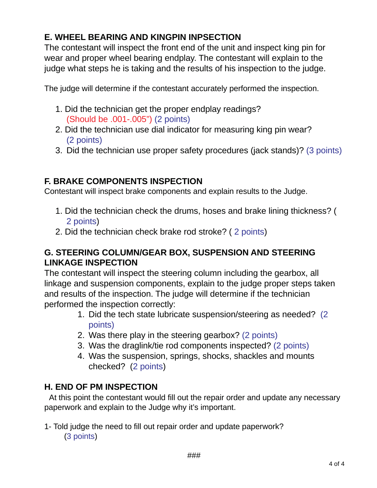## **E. WHEEL BEARING AND KINGPIN INPSECTION**

The contestant will inspect the front end of the unit and inspect king pin for wear and proper wheel bearing endplay. The contestant will explain to the judge what steps he is taking and the results of his inspection to the judge.

The judge will determine if the contestant accurately performed the inspection.

- 1. Did the technician get the proper endplay readings? (Should be .001-.005") (2 points)
- 2. Did the technician use dial indicator for measuring king pin wear? (2 points)
- 3. Did the technician use proper safety procedures (jack stands)? (3 points)

## **F. BRAKE COMPONENTS INSPECTION**

Contestant will inspect brake components and explain results to the Judge.

- 1. Did the technician check the drums, hoses and brake lining thickness? ( 2 points)
- 2. Did the technician check brake rod stroke? ( 2 points)

## **G. STEERING COLUMN/GEAR BOX, SUSPENSION AND STEERING LINKAGE INSPECTION**

The contestant will inspect the steering column including the gearbox, all linkage and suspension components, explain to the judge proper steps taken and results of the inspection. The judge will determine if the technician performed the inspection correctly:

- 1. Did the tech state lubricate suspension/steering as needed? (2 points)
- 2. Was there play in the steering gearbox? (2 points)
- 3. Was the draglink/tie rod components inspected? (2 points)
- 4. Was the suspension, springs, shocks, shackles and mounts checked? (2 points)

## **H. END OF PM INSPECTION**

At this point the contestant would fill out the repair order and update any necessary paperwork and explain to the Judge why it's important.

### 1- Told judge the need to fill out repair order and update paperwork? (3 points)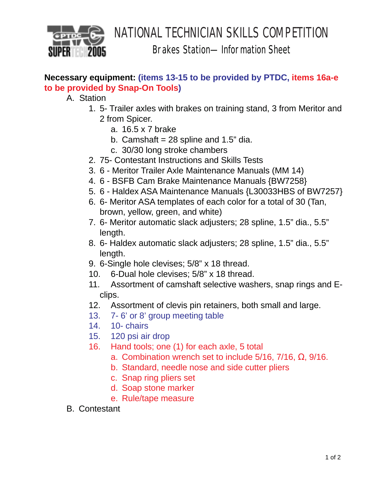

Brakes Station—Information Sheet

## **Necessary equipment: (items 13-15 to be provided by PTDC, items 16a-e to be provided by Snap-On Tools)**

A. Station

- 1. 5- Trailer axles with brakes on training stand, 3 from Meritor and 2 from Spicer.
	- a. 16.5 x 7 brake
	- b. Camshaft =  $28$  spline and 1.5" dia.
	- c. 30/30 long stroke chambers
- 2. 75- Contestant Instructions and Skills Tests
- 3. 6 Meritor Trailer Axle Maintenance Manuals (MM 14)
- 4. 6 BSFB Cam Brake Maintenance Manuals {BW7258}
- 5. 6 Haldex ASA Maintenance Manuals {L30033HBS of BW7257}
- 6. 6- Meritor ASA templates of each color for a total of 30 (Tan, brown, yellow, green, and white)
- 7. 6- Meritor automatic slack adjusters; 28 spline, 1.5" dia., 5.5" length.
- 8. 6- Haldex automatic slack adjusters; 28 spline, 1.5" dia., 5.5" length.
- 9. 6-Single hole clevises; 5/8" x 18 thread.
- 10. 6-Dual hole clevises; 5/8" x 18 thread.
- 11. Assortment of camshaft selective washers, snap rings and Eclips.
- 12. Assortment of clevis pin retainers, both small and large.
- 13. 7- 6' or 8' group meeting table
- 14. 10- chairs
- 15. 120 psi air drop
- 16. Hand tools; one (1) for each axle, 5 total
	- a. Combination wrench set to include 5/16, 7/16, Ω, 9/16.
	- b. Standard, needle nose and side cutter pliers
	- c. Snap ring pliers set
	- d. Soap stone marker
	- e. Rule/tape measure
- B. Contestant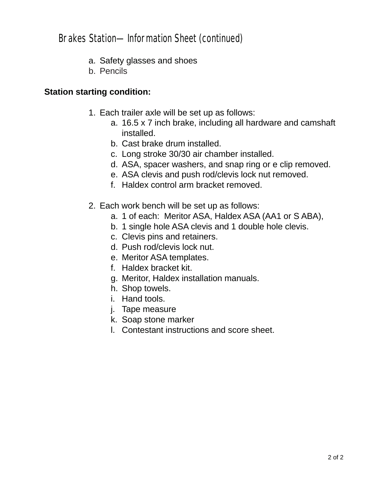## Brakes Station—Information Sheet (continued)

- a. Safety glasses and shoes
- b. Pencils

### **Station starting condition:**

- 1. Each trailer axle will be set up as follows:
	- a. 16.5 x 7 inch brake, including all hardware and camshaft installed.
	- b. Cast brake drum installed.
	- c. Long stroke 30/30 air chamber installed.
	- d. ASA, spacer washers, and snap ring or e clip removed.
	- e. ASA clevis and push rod/clevis lock nut removed.
	- f. Haldex control arm bracket removed.
- 2. Each work bench will be set up as follows:
	- a. 1 of each: Meritor ASA, Haldex ASA (AA1 or S ABA),
	- b. 1 single hole ASA clevis and 1 double hole clevis.
	- c. Clevis pins and retainers.
	- d. Push rod/clevis lock nut.
	- e. Meritor ASA templates.
	- f. Haldex bracket kit.
	- g. Meritor, Haldex installation manuals.
	- h. Shop towels.
	- i. Hand tools.
	- j. Tape measure
	- k. Soap stone marker
	- l. Contestant instructions and score sheet.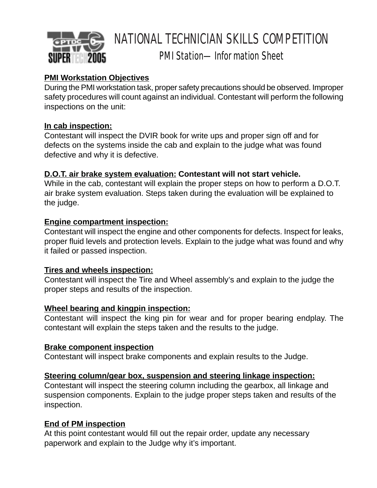

## PMI Station—Information Sheet

## **PMI Workstation Objectives**

During the PMI workstation task, proper safety precautions should be observed. Improper safety procedures will count against an individual. Contestant will perform the following inspections on the unit:

### **In cab inspection:**

Contestant will inspect the DVIR book for write ups and proper sign off and for defects on the systems inside the cab and explain to the judge what was found defective and why it is defective.

### **D.O.T. air brake system evaluation: Contestant will not start vehicle.**

While in the cab, contestant will explain the proper steps on how to perform a D.O.T. air brake system evaluation. Steps taken during the evaluation will be explained to the judge.

### **Engine compartment inspection:**

Contestant will inspect the engine and other components for defects. Inspect for leaks, proper fluid levels and protection levels. Explain to the judge what was found and why it failed or passed inspection.

### **Tires and wheels inspection:**

Contestant will inspect the Tire and Wheel assembly's and explain to the judge the proper steps and results of the inspection.

### **Wheel bearing and kingpin inspection:**

Contestant will inspect the king pin for wear and for proper bearing endplay. The contestant will explain the steps taken and the results to the judge.

### **Brake component inspection**

Contestant will inspect brake components and explain results to the Judge.

### **Steering column/gear box, suspension and steering linkage inspection:**

Contestant will inspect the steering column including the gearbox, all linkage and suspension components. Explain to the judge proper steps taken and results of the inspection.

### **End of PM inspection**

At this point contestant would fill out the repair order, update any necessary paperwork and explain to the Judge why it's important.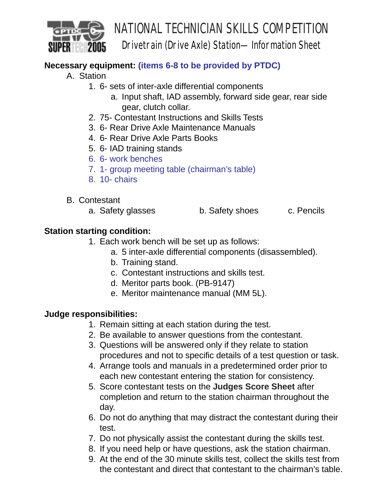

# NATIONAL TECHNICIAN SKILLS COMPETITION Drivetrain (Drive Axle) Station—Information Sheet

## **Necessary equipment: (items 6-8 to be provided by PTDC)**

- A. Station
	- 1. 6- sets of inter-axle differential components
		- a. Input shaft, IAD assembly, forward side gear, rear side gear, clutch collar.
	- 2. 75- Contestant Instructions and Skills Tests
	- 3. 6- Rear Drive Axle Maintenance Manuals
	- 4. 6- Rear Drive Axle Parts Books
	- 5. 6- IAD training stands
	- 6. 6- work benches
	- 7. 1- group meeting table (chairman's table)
	- 8. 10- chairs
- B. Contestant
	- a. Safety glasses b. Safety shoes c. Pencils

## **Station starting condition:**

- 1. Each work bench will be set up as follows:
	- a. 5 inter-axle differential components (disassembled).
	- b. Training stand.
	- c. Contestant instructions and skills test.
	- d. Meritor parts book. (PB-9147)
	- e. Meritor maintenance manual (MM 5L).

## **Judge responsibilities:**

- 1. Remain sitting at each station during the test.
- 2. Be available to answer questions from the contestant.
- 3. Questions will be answered only if they relate to station procedures and not to specific details of a test question or task.
- 4. Arrange tools and manuals in a predetermined order prior to each new contestant entering the station for consistency.
- 5. Score contestant tests on the **Judges Score Sheet** after completion and return to the station chairman throughout the day.
- 6. Do not do anything that may distract the contestant during their test.
- 7. Do not physically assist the contestant during the skills test.
- 8. If you need help or have questions, ask the station chairman.
- 9. At the end of the 30 minute skills test, collect the skills test from the contestant and direct that contestant to the chairman's table.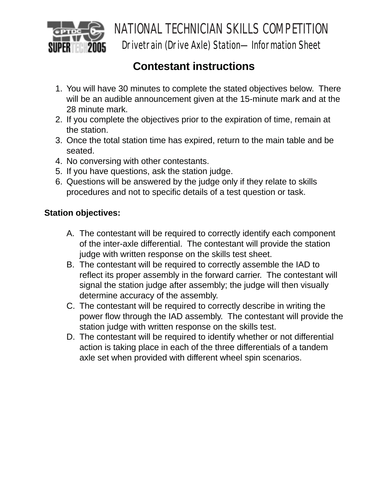

Drivetrain (Drive Axle) Station—Information Sheet

# **Contestant instructions**

- 1. You will have 30 minutes to complete the stated objectives below. There will be an audible announcement given at the 15-minute mark and at the 28 minute mark.
- 2. If you complete the objectives prior to the expiration of time, remain at the station.
- 3. Once the total station time has expired, return to the main table and be seated.
- 4. No conversing with other contestants.
- 5. If you have questions, ask the station judge.
- 6. Questions will be answered by the judge only if they relate to skills procedures and not to specific details of a test question or task.

## **Station objectives:**

- A. The contestant will be required to correctly identify each component of the inter-axle differential. The contestant will provide the station judge with written response on the skills test sheet.
- B. The contestant will be required to correctly assemble the IAD to reflect its proper assembly in the forward carrier. The contestant will signal the station judge after assembly; the judge will then visually determine accuracy of the assembly.
- C. The contestant will be required to correctly describe in writing the power flow through the IAD assembly. The contestant will provide the station judge with written response on the skills test.
- D. The contestant will be required to identify whether or not differential action is taking place in each of the three differentials of a tandem axle set when provided with different wheel spin scenarios.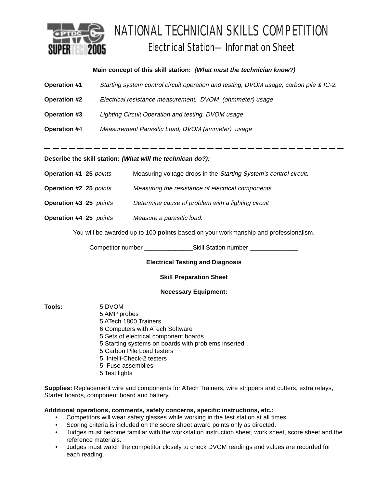

# NATIONAL TECHNICIAN SKILLS COMPETITION Electrical Station—Information Sheet

### **Main concept of this skill station: (What must the technician know?)**

| <b>Operation #1</b> | Starting system control circuit operation and testing, DVOM usage, carbon pile & IC-2. |
|---------------------|----------------------------------------------------------------------------------------|
| <b>Operation #2</b> | Electrical resistance measurement, DVOM (ohmmeter) usage                               |
| <b>Operation #3</b> | Lighting Circuit Operation and testing, DVOM usage                                     |
| <b>Operation #4</b> | Measurement Parasitic Load, DVOM (ammeter) usage                                       |
|                     |                                                                                        |

\_\_\_\_\_\_\_\_\_\_\_\_\_\_\_\_\_\_\_\_\_\_\_\_\_\_\_\_\_\_\_\_\_

**Describe the skill station: (What will the technican do?):**

| <b>Operation #1 25 points</b> | Measuring voltage drops in the Starting System's control circuit. |
|-------------------------------|-------------------------------------------------------------------|
|-------------------------------|-------------------------------------------------------------------|

- **Operation #2 25** points Measuring the resistance of electrical components.
- **Operation #3 25** *points Determine cause of problem with a lighting circuit*
- **Operation #4 25**  *points Measure a parasitic load.*

You will be awarded up to 100 **points** based on your workmanship and professionalism.

Competitor number \_\_\_\_\_\_\_\_\_\_\_\_\_\_\_\_\_\_\_\_\_\_\_\_Skill Station number \_\_\_\_\_

### **Electrical Testing and Diagnosis**

### **Skill Preparation Sheet**

### **Necessary Equipment:**

**Tools:** 5 DVOM

5 AMP probes 5 ATech 1800 Trainers 6 Computers with ATech Software 5 Sets of electrical component boards 5 Starting systems on boards with problems inserted 5 Carbon Pile Load testers 5 Intelli-Check-2 testers 5 Fuse assemblies 5 Test lights

**Supplies:** Replacement wire and components for ATech Trainers, wire strippers and cutters, extra relays, Starter boards, component board and battery.

### **Additional operations, comments, safety concerns, specific instructions, etc.:**

- Competitors will wear safety glasses while working in the test station at all times.
- Scoring criteria is included on the score sheet award points only as directed.
- Judges must become familiar with the workstation instruction sheet, work sheet, score sheet and the reference materials.
- Judges must watch the competitor closely to check DVOM readings and values are recorded for each reading.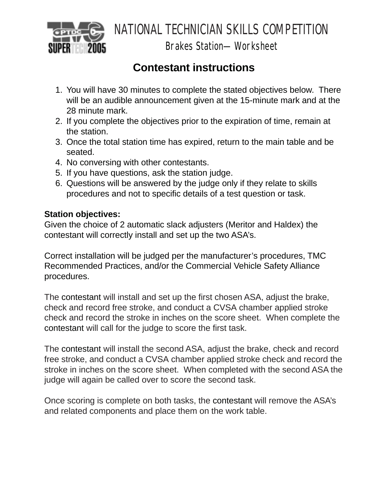

Brakes Station—Worksheet

# **Contestant instructions**

- 1. You will have 30 minutes to complete the stated objectives below. There will be an audible announcement given at the 15-minute mark and at the 28 minute mark.
- 2. If you complete the objectives prior to the expiration of time, remain at the station.
- 3. Once the total station time has expired, return to the main table and be seated.
- 4. No conversing with other contestants.
- 5. If you have questions, ask the station judge.
- 6. Questions will be answered by the judge only if they relate to skills procedures and not to specific details of a test question or task.

## **Station objectives:**

Given the choice of 2 automatic slack adjusters (Meritor and Haldex) the contestant will correctly install and set up the two ASA's.

Correct installation will be judged per the manufacturer's procedures, TMC Recommended Practices, and/or the Commercial Vehicle Safety Alliance procedures.

The contestant will install and set up the first chosen ASA, adjust the brake, check and record free stroke, and conduct a CVSA chamber applied stroke check and record the stroke in inches on the score sheet. When complete the contestant will call for the judge to score the first task.

The contestant will install the second ASA, adjust the brake, check and record free stroke, and conduct a CVSA chamber applied stroke check and record the stroke in inches on the score sheet. When completed with the second ASA the judge will again be called over to score the second task.

Once scoring is complete on both tasks, the contestant will remove the ASA's and related components and place them on the work table.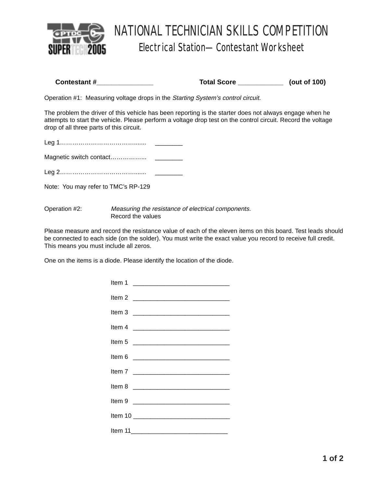

# NATIONAL TECHNICIAN SKILLS COMPETITION Electrical Station—Contestant Worksheet

| Contestant# | <b>Total Score</b> | (out of 100) |
|-------------|--------------------|--------------|
|             |                    |              |

Operation #1: Measuring voltage drops in the Starting System's control circuit.

The problem the driver of this vehicle has been reporting is the starter does not always engage when he attempts to start the vehicle. Please perform a voltage drop test on the control circuit. Record the voltage drop of all three parts of this circuit.

Note: You may refer to TMC's RP-129

| Operation #2: | Measuring the resistance of electrical components. |
|---------------|----------------------------------------------------|
|               | Record the values                                  |

Please measure and record the resistance value of each of the eleven items on this board. Test leads should be connected to each side (on the solder). You must write the exact value you record to receive full credit. This means you must include all zeros.

One on the items is a diode. Please identify the location of the diode.

| Item 4 <u>__________________________________</u> |
|--------------------------------------------------|
|                                                  |
|                                                  |
|                                                  |
|                                                  |
|                                                  |
|                                                  |
|                                                  |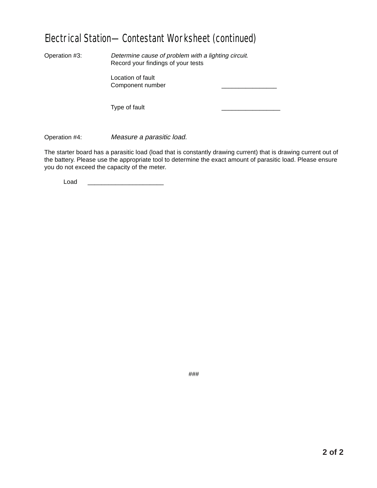## Electrical Station—Contestant Worksheet (continued)

Operation #3: Determine cause of problem with a lighting circuit. Record your findings of your tests

> Location of fault Component number \_\_\_\_\_\_\_\_\_\_\_\_\_\_\_\_

Type of fault

Operation #4: Measure a parasitic load.

The starter board has a parasitic load (load that is constantly drawing current) that is drawing current out of the battery. Please use the appropriate tool to determine the exact amount of parasitic load. Please ensure you do not exceed the capacity of the meter.

Load \_\_\_\_\_\_\_\_\_\_\_\_\_\_\_\_\_\_\_\_\_\_

###